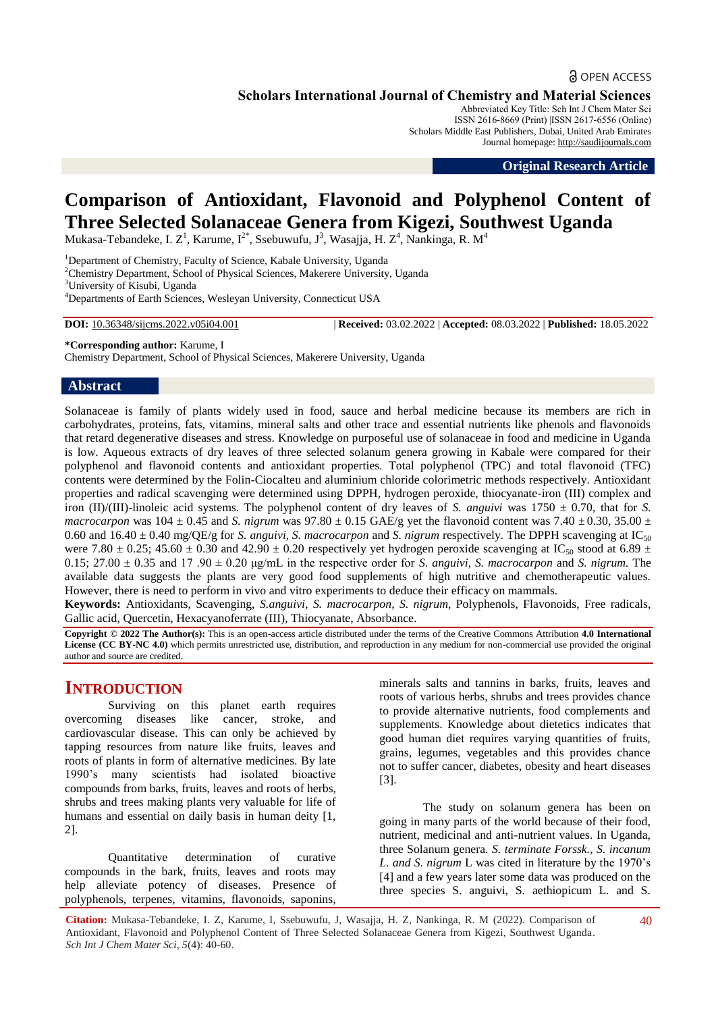# **a** OPEN ACCESS

**Scholars International Journal of Chemistry and Material Sciences**

Abbreviated Key Title: Sch Int J Chem Mater Sci ISSN 2616-8669 (Print) |ISSN 2617-6556 (Online) Scholars Middle East Publishers, Dubai, United Arab Emirates Journal homepage: [http://saudijournals.com](http://saudijournals.com/sijcms/)

**Original Research Article**

# **Comparison of Antioxidant, Flavonoid and Polyphenol Content of Three Selected Solanaceae Genera from Kigezi, Southwest Uganda**

Mukasa-Tebandeke, I.  $Z^1$ , Karume, I<sup>2\*</sup>, Ssebuwufu, J<sup>3</sup>, Wasajja, H.  $Z^4$ , Nankinga, R. M<sup>4</sup>

<sup>1</sup>Department of Chemistry, Faculty of Science, Kabale University, Uganda <sup>2</sup>Chemistry Department, School of Physical Sciences, Makerere University, Uganda <sup>3</sup>University of Kisubi, Uganda <sup>4</sup>Departments of Earth Sciences, Wesleyan University, Connecticut USA

**DOI:** 10.36348/sijcms.2022.v05i04.001 | **Received:** 03.02.2022 | **Accepted:** 08.03.2022 | **Published:** 18.05.2022

**\*Corresponding author:** Karume, I

Chemistry Department, School of Physical Sciences, Makerere University, Uganda

### **Abstract**

Solanaceae is family of plants widely used in food, sauce and herbal medicine because its members are rich in carbohydrates, proteins, fats, vitamins, mineral salts and other trace and essential nutrients like phenols and flavonoids that retard degenerative diseases and stress. Knowledge on purposeful use of solanaceae in food and medicine in Uganda is low. Aqueous extracts of dry leaves of three selected solanum genera growing in Kabale were compared for their polyphenol and flavonoid contents and antioxidant properties. Total polyphenol (TPC) and total flavonoid (TFC) contents were determined by the Folin-Ciocalteu and aluminium chloride colorimetric methods respectively. Antioxidant properties and radical scavenging were determined using DPPH, hydrogen peroxide, thiocyanate-iron (III) complex and iron (II)/(III)-linoleic acid systems. The polyphenol content of dry leaves of *S. anguivi* was  $1750 \pm 0.70$ , that for *S. macrocarpon* was 104  $\pm$  0.45 and *S. nigrum* was 97.80  $\pm$  0.15 GAE/g yet the flavonoid content was 7.40  $\pm$  0.30, 35.00  $\pm$ 0.60 and  $16.40 \pm 0.40$  mg/QE/g for *S. anguivi, S. macrocarpon* and *S. nigrum* respectively. The DPPH scavenging at IC<sub>50</sub> were 7.80  $\pm$  0.25; 45.60  $\pm$  0.30 and 42.90  $\pm$  0.20 respectively yet hydrogen peroxide scavenging at IC<sub>50</sub> stood at 6.89  $\pm$  $0.15$ ;  $27.00 \pm 0.35$  and 17  $.90 \pm 0.20$   $\mu$ g/mL in the respective order for *S. anguivi, S. macrocarpon* and *S. nigrum.* The available data suggests the plants are very good food supplements of high nutritive and chemotherapeutic values. However, there is need to perform in vivo and vitro experiments to deduce their efficacy on mammals.

**Keywords:** Antioxidants, Scavenging, *S.anguivi*, *S. macrocarpon, S. nigrum,* Polyphenols, Flavonoids, Free radicals, Gallic acid, Quercetin, Hexacyanoferrate (III), Thiocyanate, Absorbance.

**Copyright © 2022 The Author(s):** This is an open-access article distributed under the terms of the Creative Commons Attribution **4.0 International License (CC BY-NC 4.0)** which permits unrestricted use, distribution, and reproduction in any medium for non-commercial use provided the original author and source are credited.

# **INTRODUCTION**

Surviving on this planet earth requires overcoming diseases like cancer, stroke, and cardiovascular disease. This can only be achieved by tapping resources from nature like fruits, leaves and roots of plants in form of alternative medicines. By late 1990's many scientists had isolated bioactive compounds from barks, fruits, leaves and roots of herbs, shrubs and trees making plants very valuable for life of humans and essential on daily basis in human deity [1, 2].

Quantitative determination of curative compounds in the bark, fruits, leaves and roots may help alleviate potency of diseases. Presence of polyphenols, terpenes, vitamins, flavonoids, saponins,

minerals salts and tannins in barks, fruits, leaves and roots of various herbs, shrubs and trees provides chance to provide alternative nutrients, food complements and supplements. Knowledge about dietetics indicates that good human diet requires varying quantities of fruits, grains, legumes, vegetables and this provides chance not to suffer cancer, diabetes, obesity and heart diseases [3].

The study on solanum genera has been on going in many parts of the world because of their food, nutrient, medicinal and anti-nutrient values. In Uganda, three Solanum genera. *S. terminate Forssk., S. incanum L. and S. nigrum* L was cited in literature by the 1970's [4] and a few years later some data was produced on the three species S. anguivi, S. aethiopicum L. and S.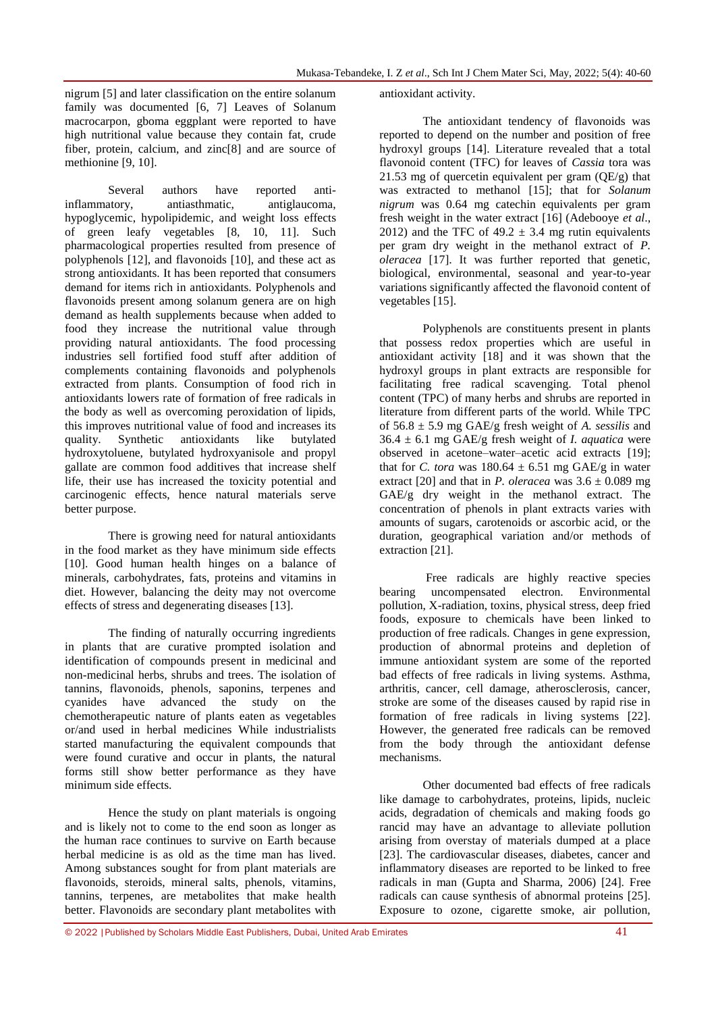nigrum [5] and later classification on the entire solanum family was documented [6, 7] Leaves of Solanum macrocarpon, gboma eggplant were reported to have high nutritional value because they contain fat, crude fiber, protein, calcium, and zinc[8] and are source of methionine [9, 10].

Several authors have reported antiinflammatory, antiasthmatic, antiglaucoma, hypoglycemic, hypolipidemic, and weight loss effects of green leafy vegetables [8, 10, 11]. Such pharmacological properties resulted from presence of polyphenols [12], and flavonoids [10], and these act as strong antioxidants. It has been reported that consumers demand for items rich in antioxidants. Polyphenols and flavonoids present among solanum genera are on high demand as health supplements because when added to food they increase the nutritional value through providing natural antioxidants. The food processing industries sell fortified food stuff after addition of complements containing flavonoids and polyphenols extracted from plants. Consumption of food rich in antioxidants lowers rate of formation of free radicals in the body as well as overcoming peroxidation of lipids, this improves nutritional value of food and increases its quality. Synthetic antioxidants like butylated hydroxytoluene, butylated hydroxyanisole and propyl gallate are common food additives that increase shelf life, their use has increased the toxicity potential and carcinogenic effects, hence natural materials serve better purpose.

There is growing need for natural antioxidants in the food market as they have minimum side effects [10]. Good human health hinges on a balance of minerals, carbohydrates, fats, proteins and vitamins in diet. However, balancing the deity may not overcome effects of stress and degenerating diseases [13].

The finding of naturally occurring ingredients in plants that are curative prompted isolation and identification of compounds present in medicinal and non-medicinal herbs, shrubs and trees. The isolation of tannins, flavonoids, phenols, saponins, terpenes and cyanides have advanced the study on the chemotherapeutic nature of plants eaten as vegetables or/and used in herbal medicines While industrialists started manufacturing the equivalent compounds that were found curative and occur in plants, the natural forms still show better performance as they have minimum side effects.

Hence the study on plant materials is ongoing and is likely not to come to the end soon as longer as the human race continues to survive on Earth because herbal medicine is as old as the time man has lived. Among substances sought for from plant materials are flavonoids, steroids, mineral salts, phenols, vitamins, tannins, terpenes, are metabolites that make health better. Flavonoids are secondary plant metabolites with antioxidant activity.

The antioxidant tendency of flavonoids was reported to depend on the number and position of free hydroxyl groups [14]. Literature revealed that a total flavonoid content (TFC) for leaves of *Cassia* tora was 21.53 mg of quercetin equivalent per gram  $(QE/g)$  that was extracted to methanol [15]; that for *Solanum nigrum* was 0.64 mg catechin equivalents per gram fresh weight in the water extract [16] (Adebooye *et al*., 2012) and the TFC of  $49.2 \pm 3.4$  mg rutin equivalents per gram dry weight in the methanol extract of *P. oleracea* [17]. It was further reported that genetic, biological, environmental, seasonal and year-to-year variations significantly affected the flavonoid content of vegetables [15].

Polyphenols are constituents present in plants that possess redox properties which are useful in antioxidant activity [18] and it was shown that the hydroxyl groups in plant extracts are responsible for facilitating free radical scavenging. Total phenol content (TPC) of many herbs and shrubs are reported in literature from different parts of the world. While TPC of 56.8 ± 5.9 mg GAE/g fresh weight of *A. sessilis* and  $36.4 \pm 6.1$  mg GAE/g fresh weight of *I. aquatica* were observed in acetone–water–acetic acid extracts [19]; that for *C. tora* was  $180.64 \pm 6.51$  mg GAE/g in water extract [20] and that in *P. oleracea* was  $3.6 \pm 0.089$  mg GAE/g dry weight in the methanol extract. The concentration of phenols in plant extracts varies with amounts of sugars, carotenoids or ascorbic acid, or the duration, geographical variation and/or methods of extraction [21].

Free radicals are highly reactive species bearing uncompensated electron. Environmental pollution, X-radiation, toxins, physical stress, deep fried foods, exposure to chemicals have been linked to production of free radicals. Changes in gene expression, production of abnormal proteins and depletion of immune antioxidant system are some of the reported bad effects of free radicals in living systems. Asthma, arthritis, cancer, cell damage, atherosclerosis, cancer, stroke are some of the diseases caused by rapid rise in formation of free radicals in living systems [22]. However, the generated free radicals can be removed from the body through the antioxidant defense mechanisms.

Other documented bad effects of free radicals like damage to carbohydrates, proteins, lipids, nucleic acids, degradation of chemicals and making foods go rancid may have an advantage to alleviate pollution arising from overstay of materials dumped at a place [23]. The cardiovascular diseases, diabetes, cancer and inflammatory diseases are reported to be linked to free radicals in man (Gupta and Sharma, 2006) [24]. Free radicals can cause synthesis of abnormal proteins [25]. Exposure to ozone, cigarette smoke, air pollution,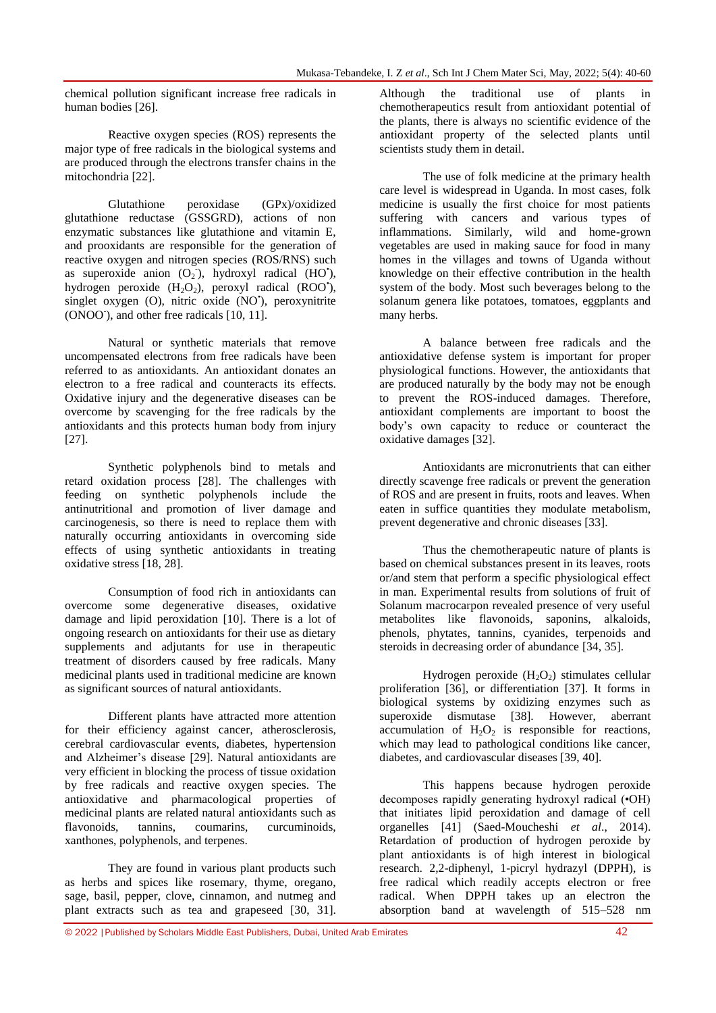chemical pollution significant increase free radicals in human bodies [26].

Reactive oxygen species (ROS) represents the major type of free radicals in the biological systems and are produced through the electrons transfer chains in the mitochondria [22].

Glutathione peroxidase (GPx)/oxidized glutathione reductase (GSSGRD), actions of non enzymatic substances like glutathione and vitamin E, and prooxidants are responsible for the generation of reactive oxygen and nitrogen species (ROS/RNS) such as superoxide anion  $(O_2$ <sup>2</sup>), hydroxyl radical (HO<sup>\*</sup>), hydrogen peroxide  $(H_2O_2)$ , peroxyl radical (ROO'), singlet oxygen (O), nitric oxide (NO'), peroxynitrite (ONOO<sup>-</sup>), and other free radicals [10, 11].

Natural or synthetic materials that remove uncompensated electrons from free radicals have been referred to as antioxidants. An antioxidant donates an electron to a free radical and counteracts its effects. Oxidative injury and the degenerative diseases can be overcome by scavenging for the free radicals by the antioxidants and this protects human body from injury [27].

Synthetic polyphenols bind to metals and retard oxidation process [28]. The challenges with feeding on synthetic polyphenols include the antinutritional and promotion of liver damage and carcinogenesis, so there is need to replace them with naturally occurring antioxidants in overcoming side effects of using synthetic antioxidants in treating oxidative stress [18, 28].

Consumption of food rich in antioxidants can overcome some degenerative diseases, oxidative damage and lipid peroxidation [10]. There is a lot of ongoing research on antioxidants for their use as dietary supplements and adjutants for use in therapeutic treatment of disorders caused by free radicals. Many medicinal plants used in traditional medicine are known as significant sources of natural antioxidants.

Different plants have attracted more attention for their efficiency against cancer, atherosclerosis, cerebral cardiovascular events, diabetes, hypertension and Alzheimer's disease [29]. Natural antioxidants are very efficient in blocking the process of tissue oxidation by free radicals and reactive oxygen species. The antioxidative and pharmacological properties of medicinal plants are related natural antioxidants such as flavonoids, tannins, coumarins, curcuminoids, xanthones, polyphenols, and terpenes.

They are found in various plant products such as herbs and spices like rosemary, thyme, oregano, sage, basil, pepper, clove, cinnamon, and nutmeg and plant extracts such as tea and grapeseed [30, 31].

Although the traditional use of plants in chemotherapeutics result from antioxidant potential of the plants, there is always no scientific evidence of the antioxidant property of the selected plants until scientists study them in detail.

The use of folk medicine at the primary health care level is widespread in Uganda. In most cases, folk medicine is usually the first choice for most patients suffering with cancers and various types of inflammations. Similarly, wild and home-grown vegetables are used in making sauce for food in many homes in the villages and towns of Uganda without knowledge on their effective contribution in the health system of the body. Most such beverages belong to the solanum genera like potatoes, tomatoes, eggplants and many herbs.

A balance between free radicals and the antioxidative defense system is important for proper physiological functions. However, the antioxidants that are produced naturally by the body may not be enough to prevent the ROS-induced damages. Therefore, antioxidant complements are important to boost the body's own capacity to reduce or counteract the oxidative damages [32].

Antioxidants are micronutrients that can either directly scavenge free radicals or prevent the generation of ROS and are present in fruits, roots and leaves. When eaten in suffice quantities they modulate metabolism, prevent degenerative and chronic diseases [33].

Thus the chemotherapeutic nature of plants is based on chemical substances present in its leaves, roots or/and stem that perform a specific physiological effect in man. Experimental results from solutions of fruit of Solanum macrocarpon revealed presence of very useful metabolites like flavonoids, saponins, alkaloids, phenols, phytates, tannins, cyanides, terpenoids and steroids in decreasing order of abundance [34, 35].

Hydrogen peroxide  $(H_2O_2)$  stimulates cellular proliferation [36], or differentiation [37]. It forms in biological systems by oxidizing enzymes such as superoxide dismutase [38]. However, aberrant accumulation of  $H_2O_2$  is responsible for reactions, which may lead to pathological conditions like cancer, diabetes, and cardiovascular diseases [39, 40].

This happens because hydrogen peroxide decomposes rapidly generating hydroxyl radical (•OH) that initiates lipid peroxidation and damage of cell organelles [41] (Saed-Moucheshi *et al*., 2014). Retardation of production of hydrogen peroxide by plant antioxidants is of high interest in biological research. 2,2-diphenyl, 1-picryl hydrazyl (DPPH), is free radical which readily accepts electron or free radical. When DPPH takes up an electron the absorption band at wavelength of 515–528 nm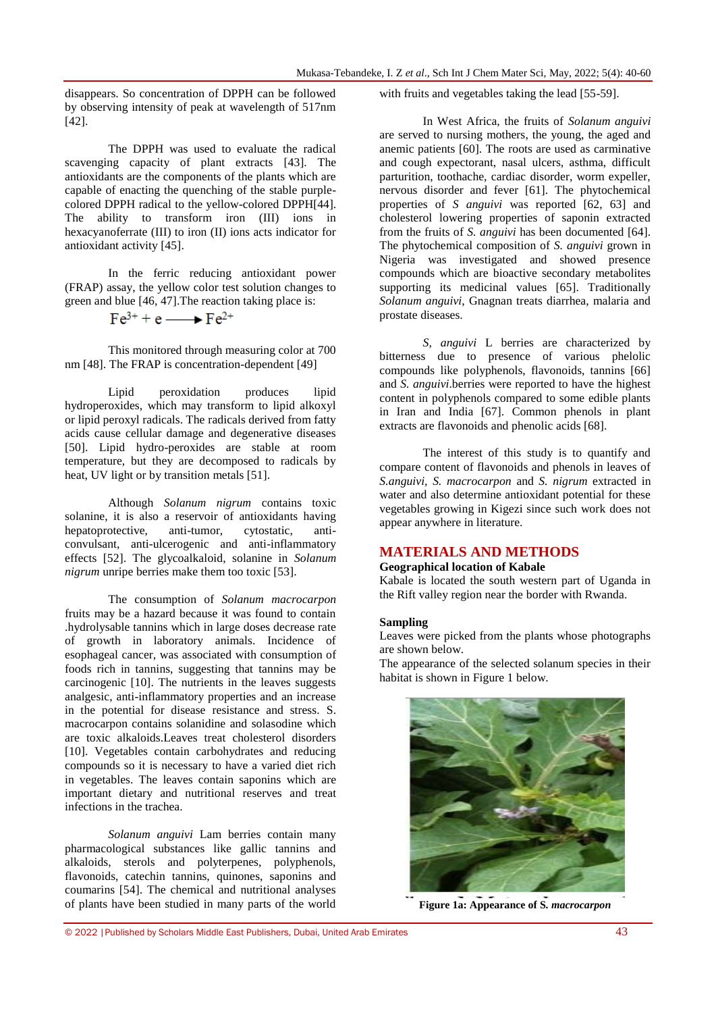disappears. So concentration of DPPH can be followed by observing intensity of peak at wavelength of 517nm [42].

The DPPH was used to evaluate the radical scavenging capacity of plant extracts [43]. The antioxidants are the components of the plants which are capable of enacting the quenching of the stable purplecolored DPPH radical to the yellow-colored DPPH[44]. The ability to transform iron (III) ions in hexacyanoferrate (III) to iron (II) ions acts indicator for antioxidant activity [45].

In the ferric reducing antioxidant power (FRAP) assay, the yellow color test solution changes to green and blue [46, 47].The reaction taking place is:

$$
Fe^{3+} + e \longrightarrow Fe^{2+}
$$

This monitored through measuring color at 700 nm [48]. The FRAP is concentration-dependent [49]

Lipid peroxidation produces lipid hydroperoxides, which may transform to lipid alkoxyl or lipid peroxyl radicals. The radicals derived from fatty acids cause cellular damage and degenerative diseases [50]. Lipid hydro-peroxides are stable at room temperature, but they are decomposed to radicals by heat, UV light or by transition metals [51].

Although *Solanum nigrum* contains toxic solanine, it is also a reservoir of antioxidants having hepatoprotective, anti-tumor, cytostatic, anticonvulsant, anti-ulcerogenic and anti-inflammatory effects [52]. The glycoalkaloid, solanine in *Solanum nigrum* unripe berries make them too toxic [53].

The consumption of *Solanum macrocarpon* fruits may be a hazard because it was found to contain .hydrolysable tannins which in large doses decrease rate of growth in laboratory animals. Incidence of esophageal cancer, was associated with consumption of foods rich in tannins, suggesting that tannins may be carcinogenic [10]. The nutrients in the leaves suggests analgesic, anti-inflammatory properties and an increase in the potential for disease resistance and stress. S. macrocarpon contains solanidine and solasodine which are toxic alkaloids.Leaves treat cholesterol disorders [10]. Vegetables contain carbohydrates and reducing compounds so it is necessary to have a varied diet rich in vegetables. The leaves contain saponins which are important dietary and nutritional reserves and treat infections in the trachea.

*Solanum anguivi* Lam berries contain many pharmacological substances like gallic tannins and alkaloids, sterols and polyterpenes, polyphenols, flavonoids, catechin tannins, quinones, saponins and coumarins [54]. The chemical and nutritional analyses of plants have been studied in many parts of the world

with fruits and vegetables taking the lead [55-59].

In West Africa, the fruits of *Solanum anguivi* are served to nursing mothers, the young, the aged and anemic patients [60]. The roots are used as carminative and cough expectorant, nasal ulcers, asthma, difficult parturition, toothache, cardiac disorder, worm expeller, nervous disorder and fever [61]. The phytochemical properties of *S anguivi* was reported [62, 63] and cholesterol lowering properties of saponin extracted from the fruits of *S. anguivi* has been documented [64]. The phytochemical composition of *S. anguivi* grown in Nigeria was investigated and showed presence compounds which are bioactive secondary metabolites supporting its medicinal values [65]. Traditionally *Solanum anguivi*, Gnagnan treats diarrhea, malaria and prostate diseases.

*S, anguivi* L berries are characterized by bitterness due to presence of various phelolic compounds like polyphenols, flavonoids, tannins [66] and *S. anguivi*.berries were reported to have the highest content in polyphenols compared to some edible plants in Iran and India [67]. Common phenols in plant extracts are flavonoids and phenolic acids [68].

The interest of this study is to quantify and compare content of flavonoids and phenols in leaves of *S.anguivi, S. macrocarpon* and *S. nigrum* extracted in water and also determine antioxidant potential for these vegetables growing in Kigezi since such work does not appear anywhere in literature.

### **MATERIALS AND METHODS**

### **Geographical location of Kabale**

Kabale is located the south western part of Uganda in the Rift valley region near the border with Rwanda.

#### **Sampling**

Leaves were picked from the plants whose photographs are shown below.

The appearance of the selected solanum species in their habitat is shown in Figure 1 below.



**Figure 1a: Appearance of S***. macrocarpon*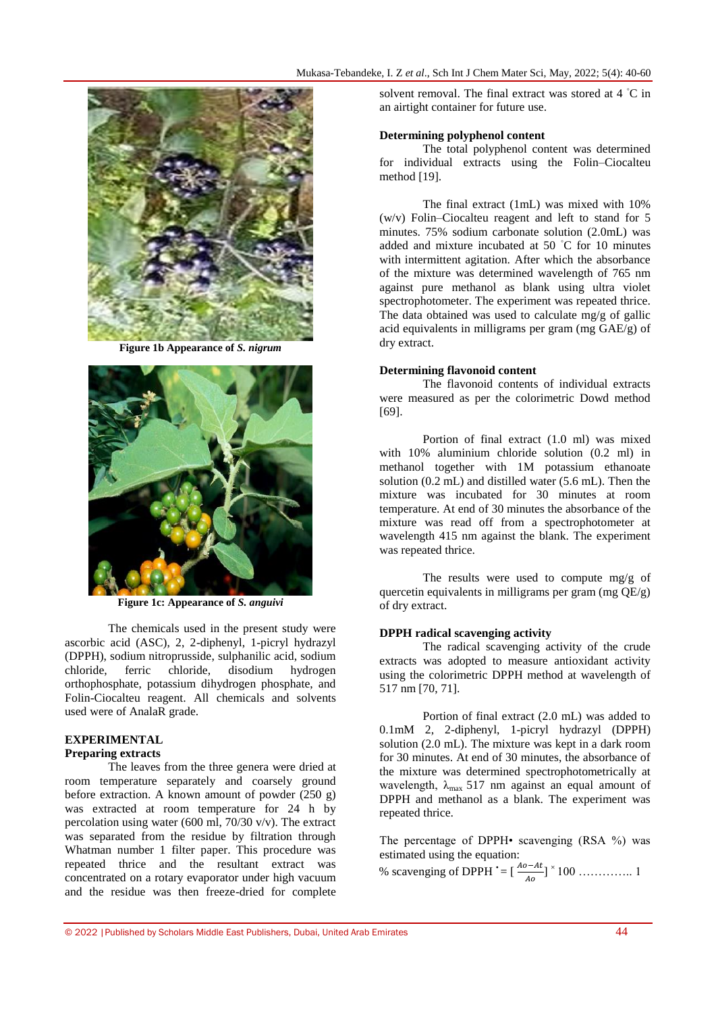

**Figure 1b Appearance of** *S. nigrum*



**Figure 1c: Appearance of** *S. anguivi*

The chemicals used in the present study were ascorbic acid (ASC), 2, 2-diphenyl, 1-picryl hydrazyl (DPPH), sodium nitroprusside, sulphanilic acid, sodium chloride, ferric chloride, disodium hydrogen orthophosphate, potassium dihydrogen phosphate, and Folin-Ciocalteu reagent. All chemicals and solvents used were of AnalaR grade.

# **EXPERIMENTAL**

### **Preparing extracts**

The leaves from the three genera were dried at room temperature separately and coarsely ground before extraction. A known amount of powder (250 g) was extracted at room temperature for 24 h by percolation using water (600 ml, 70/30 v/v). The extract was separated from the residue by filtration through Whatman number 1 filter paper. This procedure was repeated thrice and the resultant extract was concentrated on a rotary evaporator under high vacuum and the residue was then freeze-dried for complete

solvent removal. The final extract was stored at 4 °C in an airtight container for future use.

### **Determining polyphenol content**

The total polyphenol content was determined for individual extracts using the Folin–Ciocalteu method [19].

The final extract (1mL) was mixed with 10% (w/v) Folin–Ciocalteu reagent and left to stand for 5 minutes. 75% sodium carbonate solution (2.0mL) was added and mixture incubated at 50 ◦C for 10 minutes with intermittent agitation. After which the absorbance of the mixture was determined wavelength of 765 nm against pure methanol as blank using ultra violet spectrophotometer. The experiment was repeated thrice. The data obtained was used to calculate mg/g of gallic acid equivalents in milligrams per gram (mg GAE/g) of dry extract.

### **Determining flavonoid content**

The flavonoid contents of individual extracts were measured as per the colorimetric Dowd method [69].

Portion of final extract (1.0 ml) was mixed with 10% aluminium chloride solution (0.2 ml) in methanol together with 1M potassium ethanoate solution (0.2 mL) and distilled water (5.6 mL). Then the mixture was incubated for 30 minutes at room temperature. At end of 30 minutes the absorbance of the mixture was read off from a spectrophotometer at wavelength 415 nm against the blank. The experiment was repeated thrice.

The results were used to compute mg/g of quercetin equivalents in milligrams per gram (mg  $OE/g$ ) of dry extract.

### **DPPH radical scavenging activity**

The radical scavenging activity of the crude extracts was adopted to measure antioxidant activity using the colorimetric DPPH method at wavelength of 517 nm [70, 71].

Portion of final extract (2.0 mL) was added to 0.1mM 2, 2-diphenyl, 1-picryl hydrazyl (DPPH) solution (2.0 mL). The mixture was kept in a dark room for 30 minutes. At end of 30 minutes, the absorbance of the mixture was determined spectrophotometrically at wavelength,  $\lambda_{\text{max}}$  517 nm against an equal amount of DPPH and methanol as a blank. The experiment was repeated thrice.

The percentage of DPPH• scavenging (RSA %) was estimated using the equation:

% scavenging of DPPH • = [ ] <sup>×</sup>100 ………….. 1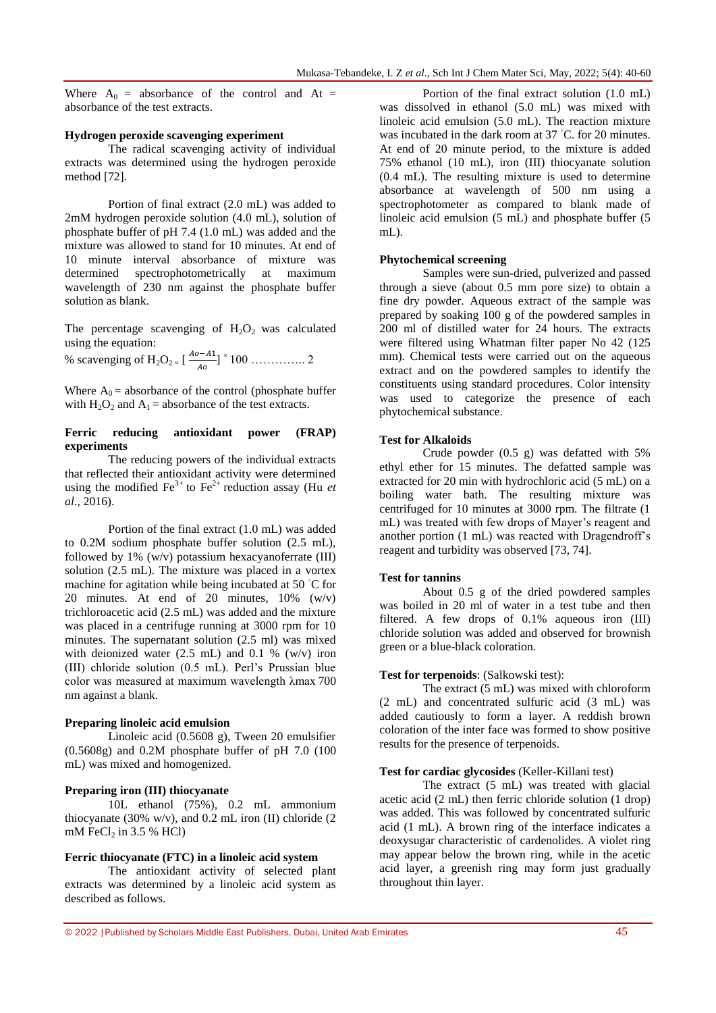Where  $A_0$  = absorbance of the control and At = absorbance of the test extracts.

#### **Hydrogen peroxide scavenging experiment**

The radical scavenging activity of individual extracts was determined using the hydrogen peroxide method [72].

Portion of final extract (2.0 mL) was added to 2mM hydrogen peroxide solution (4.0 mL), solution of phosphate buffer of pH 7.4 (1.0 mL) was added and the mixture was allowed to stand for 10 minutes. At end of 10 minute interval absorbance of mixture was determined spectrophotometrically at maximum wavelength of 230 nm against the phosphate buffer solution as blank.

The percentage scavenging of  $H_2O_2$  was calculated using the equation:

% scavenging of H2O2 = [ ] <sup>×</sup>100 ………….. 2

Where  $A_0$  = absorbance of the control (phosphate buffer with  $H_2O_2$  and  $A_1$  = absorbance of the test extracts.

### **Ferric reducing antioxidant power (FRAP) experiments**

The reducing powers of the individual extracts that reflected their antioxidant activity were determined using the modified  $\text{Fe}^{3+}$  to  $\text{Fe}^{2+}$  reduction assay (Hu *et al*., 2016).

Portion of the final extract (1.0 mL) was added to 0.2M sodium phosphate buffer solution (2.5 mL), followed by  $1\%$  (w/v) potassium hexacyanoferrate (III) solution (2.5 mL). The mixture was placed in a vortex machine for agitation while being incubated at 50 ◦C for 20 minutes. At end of 20 minutes, 10% (w/v) trichloroacetic acid (2.5 mL) was added and the mixture was placed in a centrifuge running at 3000 rpm for 10 minutes. The supernatant solution (2.5 ml) was mixed with deionized water  $(2.5 \text{ mL})$  and 0.1 %  $(w/v)$  iron (III) chloride solution (0.5 mL). Perl's Prussian blue color was measured at maximum wavelength λmax 700 nm against a blank.

#### **Preparing linoleic acid emulsion**

Linoleic acid (0.5608 g), Tween 20 emulsifier (0.5608g) and 0.2M phosphate buffer of pH 7.0 (100 mL) was mixed and homogenized.

### **Preparing iron (III) thiocyanate**

10L ethanol (75%), 0.2 mL ammonium thiocyanate (30% w/v), and  $0.2$  mL iron (II) chloride (2) mM FeC $l_2$  in 3.5 % HCl)

#### **Ferric thiocyanate (FTC) in a linoleic acid system**

The antioxidant activity of selected plant extracts was determined by a linoleic acid system as described as follows.

Portion of the final extract solution (1.0 mL) was dissolved in ethanol (5.0 mL) was mixed with linoleic acid emulsion (5.0 mL). The reaction mixture was incubated in the dark room at 37 °C. for 20 minutes. At end of 20 minute period, to the mixture is added 75% ethanol (10 mL), iron (III) thiocyanate solution (0.4 mL). The resulting mixture is used to determine absorbance at wavelength of 500 nm using a spectrophotometer as compared to blank made of linoleic acid emulsion (5 mL) and phosphate buffer (5 mL).

#### **Phytochemical screening**

Samples were sun-dried, pulverized and passed through a sieve (about 0.5 mm pore size) to obtain a fine dry powder. Aqueous extract of the sample was prepared by soaking 100 g of the powdered samples in 200 ml of distilled water for 24 hours. The extracts were filtered using Whatman filter paper No 42 (125 mm). Chemical tests were carried out on the aqueous extract and on the powdered samples to identify the constituents using standard procedures. Color intensity was used to categorize the presence of each phytochemical substance.

### **Test for Alkaloids**

Crude powder (0.5 g) was defatted with 5% ethyl ether for 15 minutes. The defatted sample was extracted for 20 min with hydrochloric acid (5 mL) on a boiling water bath. The resulting mixture was centrifuged for 10 minutes at 3000 rpm. The filtrate (1) mL) was treated with few drops of Mayer's reagent and another portion (1 mL) was reacted with Dragendroff's reagent and turbidity was observed [73, 74]*.*

### **Test for tannins**

About 0.5 g of the dried powdered samples was boiled in 20 ml of water in a test tube and then filtered. A few drops of 0.1% aqueous iron (III) chloride solution was added and observed for brownish green or a blue-black coloration.

#### **Test for terpenoids**: (Salkowski test):

The extract (5 mL) was mixed with chloroform (2 mL) and concentrated sulfuric acid (3 mL) was added cautiously to form a layer. A reddish brown coloration of the inter face was formed to show positive results for the presence of terpenoids.

### **Test for cardiac glycosides** (Keller-Killani test)

The extract (5 mL) was treated with glacial acetic acid (2 mL) then ferric chloride solution (1 drop) was added. This was followed by concentrated sulfuric acid (1 mL). A brown ring of the interface indicates a deoxysugar characteristic of cardenolides. A violet ring may appear below the brown ring, while in the acetic acid layer, a greenish ring may form just gradually throughout thin layer.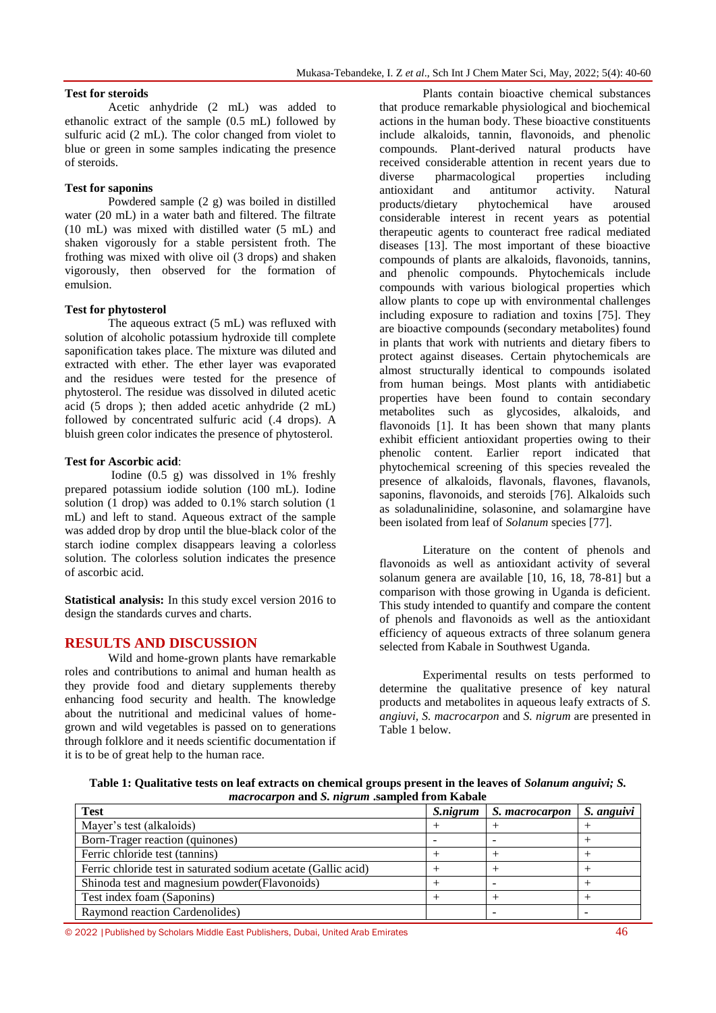### **Test for steroids**

Acetic anhydride (2 mL) was added to ethanolic extract of the sample (0.5 mL) followed by sulfuric acid (2 mL). The color changed from violet to blue or green in some samples indicating the presence of steroids.

### **Test for saponins**

Powdered sample (2 g) was boiled in distilled water (20 mL) in a water bath and filtered. The filtrate (10 mL) was mixed with distilled water (5 mL) and shaken vigorously for a stable persistent froth. The frothing was mixed with olive oil (3 drops) and shaken vigorously, then observed for the formation of emulsion.

### **Test for phytosterol**

The aqueous extract (5 mL) was refluxed with solution of alcoholic potassium hydroxide till complete saponification takes place. The mixture was diluted and extracted with ether. The ether layer was evaporated and the residues were tested for the presence of phytosterol. The residue was dissolved in diluted acetic acid (5 drops ); then added acetic anhydride (2 mL) followed by concentrated sulfuric acid (.4 drops). A bluish green color indicates the presence of phytosterol.

### **Test for Ascorbic acid**:

Iodine (0.5 g) was dissolved in 1% freshly prepared potassium iodide solution (100 mL). Iodine solution (1 drop) was added to 0.1% starch solution (1 mL) and left to stand. Aqueous extract of the sample was added drop by drop until the blue-black color of the starch iodine complex disappears leaving a colorless solution. The colorless solution indicates the presence of ascorbic acid.

**Statistical analysis:** In this study excel version 2016 to design the standards curves and charts.

## **RESULTS AND DISCUSSION**

Wild and home-grown plants have remarkable roles and contributions to animal and human health as they provide food and dietary supplements thereby enhancing food security and health. The knowledge about the nutritional and medicinal values of homegrown and wild vegetables is passed on to generations through folklore and it needs scientific documentation if it is to be of great help to the human race.

Plants contain bioactive chemical substances that produce remarkable physiological and biochemical actions in the human body. These bioactive constituents include alkaloids, tannin, flavonoids, and phenolic compounds. Plant-derived natural products have received considerable attention in recent years due to diverse pharmacological properties including antioxidant and antitumor activity. Natural products/dietary phytochemical have aroused considerable interest in recent years as potential therapeutic agents to counteract free radical mediated diseases [13]. The most important of these bioactive compounds of plants are alkaloids, flavonoids, tannins, and phenolic compounds. Phytochemicals include compounds with various biological properties which allow plants to cope up with environmental challenges including exposure to radiation and toxins [75]. They are bioactive compounds (secondary metabolites) found in plants that work with nutrients and dietary fibers to protect against diseases. Certain phytochemicals are almost structurally identical to compounds isolated from human beings. Most plants with antidiabetic properties have been found to contain secondary metabolites such as glycosides, alkaloids, and flavonoids [1]. It has been shown that many plants exhibit efficient antioxidant properties owing to their phenolic content. Earlier report indicated that phytochemical screening of this species revealed the presence of alkaloids, flavonals, flavones, flavanols, saponins, flavonoids, and steroids [76]. Alkaloids such as soladunalinidine, solasonine, and solamargine have been isolated from leaf of *Solanum* species [77].

Literature on the content of phenols and flavonoids as well as antioxidant activity of several solanum genera are available [10, 16, 18, 78-81] but a comparison with those growing in Uganda is deficient. This study intended to quantify and compare the content of phenols and flavonoids as well as the antioxidant efficiency of aqueous extracts of three solanum genera selected from Kabale in Southwest Uganda.

Experimental results on tests performed to determine the qualitative presence of key natural products and metabolites in aqueous leafy extracts of *S. angiuvi, S. macrocarpon* and *S. nigrum* are presented in Table 1 below.

**Table 1: Qualitative tests on leaf extracts on chemical groups present in the leaves of** *Solanum anguivi; S. macrocarpon* **and** *S. nigrum* **.sampled from Kabale**

| <b>Test</b>                                                    | <i>S.nigrum</i> | S. macrocarpon | S. anguivi |
|----------------------------------------------------------------|-----------------|----------------|------------|
| Mayer's test (alkaloids)                                       |                 |                |            |
| Born-Trager reaction (quinones)                                |                 |                |            |
| Ferric chloride test (tannins)                                 |                 |                |            |
| Ferric chloride test in saturated sodium acetate (Gallic acid) |                 |                |            |
| Shinoda test and magnesium powder(Flavonoids)                  |                 |                |            |
| Test index foam (Saponins)                                     |                 |                |            |
| Raymond reaction Cardenolides)                                 |                 |                |            |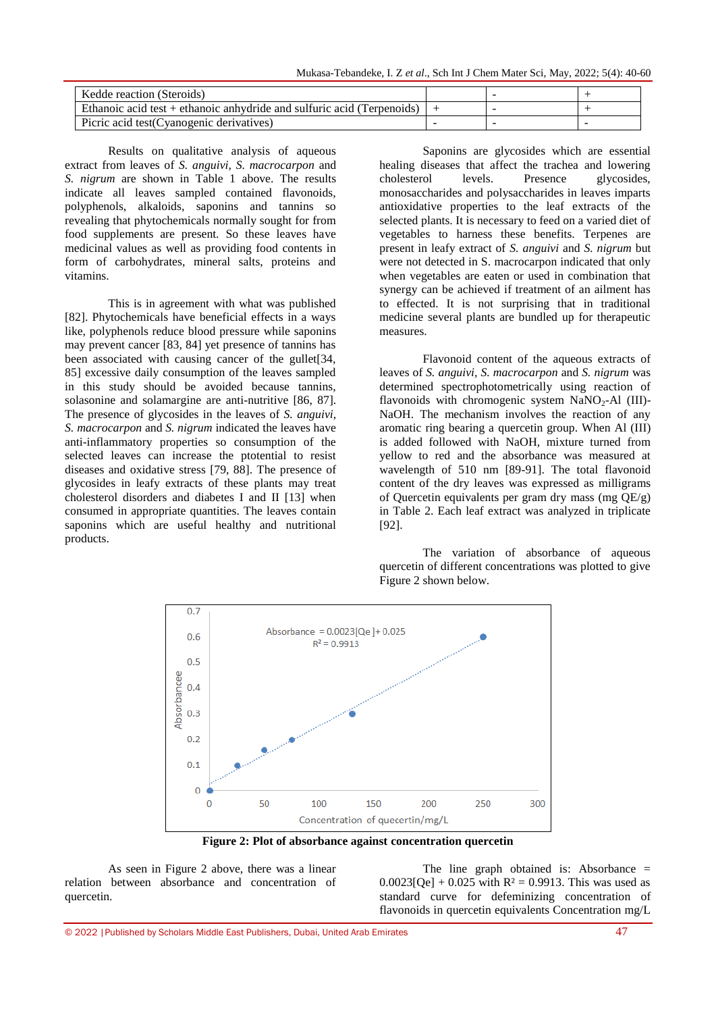Mukasa-Tebandeke, I. Z *et al*., Sch Int J Chem Mater Sci, May, 2022; 5(4): 40-60

| Kedde reaction (Steroids)                                                |  |  |
|--------------------------------------------------------------------------|--|--|
| Ethanoic acid test $+$ ethanoic anhydride and sulfuric acid (Terpenoids) |  |  |
| Picric acid test (Cyanogenic derivatives)                                |  |  |

Results on qualitative analysis of aqueous extract from leaves of *S. anguivi, S. macrocarpon* and *S. nigrum* are shown in Table 1 above. The results indicate all leaves sampled contained flavonoids, polyphenols, alkaloids, saponins and tannins so revealing that phytochemicals normally sought for from food supplements are present. So these leaves have medicinal values as well as providing food contents in form of carbohydrates, mineral salts, proteins and vitamins.

This is in agreement with what was published [82]. Phytochemicals have beneficial effects in a ways like, polyphenols reduce blood pressure while saponins may prevent cancer [83, 84] yet presence of tannins has been associated with causing cancer of the gullet<sup>[34,]</sup> 85] excessive daily consumption of the leaves sampled in this study should be avoided because tannins, solasonine and solamargine are anti-nutritive [86, 87]. The presence of glycosides in the leaves of *S. anguivi, S. macrocarpon* and *S. nigrum* indicated the leaves have anti-inflammatory properties so consumption of the selected leaves can increase the ptotential to resist diseases and oxidative stress [79, 88]. The presence of glycosides in leafy extracts of these plants may treat cholesterol disorders and diabetes I and II [13] when consumed in appropriate quantities. The leaves contain saponins which are useful healthy and nutritional products.

Saponins are glycosides which are essential healing diseases that affect the trachea and lowering cholesterol levels. Presence glycosides, monosaccharides and polysaccharides in leaves imparts antioxidative properties to the leaf extracts of the selected plants. It is necessary to feed on a varied diet of vegetables to harness these benefits. Terpenes are present in leafy extract of *S. anguivi* and *S. nigrum* but were not detected in S. macrocarpon indicated that only when vegetables are eaten or used in combination that synergy can be achieved if treatment of an ailment has to effected. It is not surprising that in traditional medicine several plants are bundled up for therapeutic measures.

Flavonoid content of the aqueous extracts of leaves of *S. anguivi, S. macrocarpon* and *S. nigrum* was determined spectrophotometrically using reaction of flavonoids with chromogenic system  $NaNO<sub>2</sub>-Al$  (III)-NaOH. The mechanism involves the reaction of any aromatic ring bearing a quercetin group. When Al (III) is added followed with NaOH, mixture turned from yellow to red and the absorbance was measured at wavelength of 510 nm [89-91]. The total flavonoid content of the dry leaves was expressed as milligrams of Quercetin equivalents per gram dry mass (mg QE/g) in Table 2. Each leaf extract was analyzed in triplicate [92].

The variation of absorbance of aqueous quercetin of different concentrations was plotted to give Figure 2 shown below.



**Figure 2: Plot of absorbance against concentration quercetin**

As seen in Figure 2 above, there was a linear relation between absorbance and concentration of quercetin.

The line graph obtained is: Absorbance =  $0.0023[Qe] + 0.025$  with R<sup>2</sup> = 0.9913. This was used as standard curve for defeminizing concentration of flavonoids in quercetin equivalents Concentration mg/L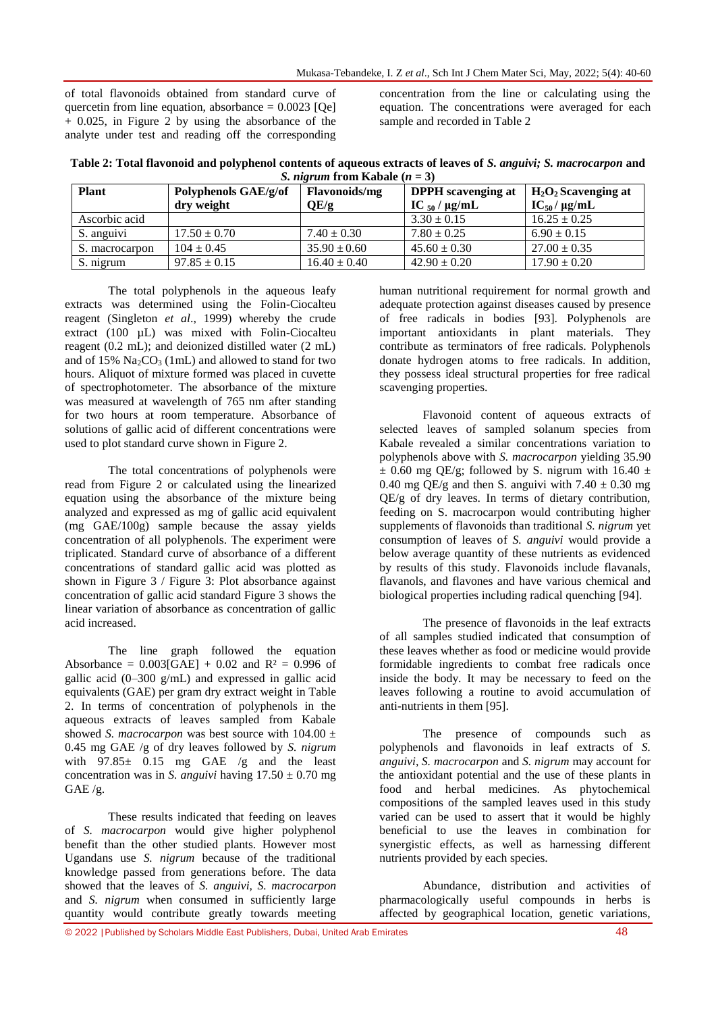of total flavonoids obtained from standard curve of quercetin from line equation, absorbance  $= 0.0023$  [Qe] + 0.025, in Figure 2 by using the absorbance of the analyte under test and reading off the corresponding concentration from the line or calculating using the equation. The concentrations were averaged for each sample and recorded in Table 2

**Table 2: Total flavonoid and polyphenol contents of aqueous extracts of leaves of** *S. anguivi; S. macrocarpon* **and**  *S. nigrum* from Kabale  $(n = 3)$ 

| <b>Plant</b>   | Polyphenols GAE/g/of<br>dry weight | <b>Flavonoids/mg</b><br>QE/g | <b>DPPH</b> scavenging at<br>IC $_{50}$ / $\mu$ g/mL | $H_2O_2$ Scavenging at<br>$IC_{50}/\mu g/mL$ |
|----------------|------------------------------------|------------------------------|------------------------------------------------------|----------------------------------------------|
| Ascorbic acid  |                                    |                              | $3.30 \pm 0.15$                                      | $16.25 \pm 0.25$                             |
| S. anguivi     | $17.50 \pm 0.70$                   | $7.40 \pm 0.30$              | $7.80 \pm 0.25$                                      | $6.90 \pm 0.15$                              |
| S. macrocarpon | $104 \pm 0.45$                     | $35.90 \pm 0.60$             | $45.60 \pm 0.30$                                     | $27.00 \pm 0.35$                             |
| S. nigrum      | $97.85 \pm 0.15$                   | $16.40 \pm 0.40$             | $42.90 \pm 0.20$                                     | $17.90 \pm 0.20$                             |

The total polyphenols in the aqueous leafy extracts was determined using the Folin-Ciocalteu reagent (Singleton *et al*., 1999) whereby the crude extract (100 µL) was mixed with Folin-Ciocalteu reagent (0.2 mL); and deionized distilled water (2 mL) and of  $15\%$   $Na<sub>2</sub>CO<sub>3</sub>$  (1mL) and allowed to stand for two hours. Aliquot of mixture formed was placed in cuvette of spectrophotometer. The absorbance of the mixture was measured at wavelength of 765 nm after standing for two hours at room temperature. Absorbance of solutions of gallic acid of different concentrations were used to plot standard curve shown in Figure 2.

The total concentrations of polyphenols were read from Figure 2 or calculated using the linearized equation using the absorbance of the mixture being analyzed and expressed as mg of gallic acid equivalent (mg GAE/100g) sample because the assay yields concentration of all polyphenols. The experiment were triplicated. Standard curve of absorbance of a different concentrations of standard gallic acid was plotted as shown in Figure 3 / Figure 3: Plot absorbance against concentration of gallic acid standard Figure 3 shows the linear variation of absorbance as concentration of gallic acid increased.

The line graph followed the equation Absorbance =  $0.003[GAE] + 0.02$  and  $R^2 = 0.996$  of gallic acid (0–300 g/mL) and expressed in gallic acid equivalents (GAE) per gram dry extract weight in Table 2. In terms of concentration of polyphenols in the aqueous extracts of leaves sampled from Kabale showed *S. macrocarpon* was best source with  $104.00 \pm$ 0.45 mg GAE /g of dry leaves followed by *S. nigrum* with  $97.85 \pm 0.15$  mg GAE /g and the least concentration was in *S. anguivi* having  $17.50 \pm 0.70$  mg GAE /g.

These results indicated that feeding on leaves of *S. macrocarpon* would give higher polyphenol benefit than the other studied plants. However most Ugandans use *S. nigrum* because of the traditional knowledge passed from generations before. The data showed that the leaves of *S. anguivi, S. macrocarpon* and *S. nigrum* when consumed in sufficiently large quantity would contribute greatly towards meeting

human nutritional requirement for normal growth and adequate protection against diseases caused by presence of free radicals in bodies [93]. Polyphenols are important antioxidants in plant materials. They contribute as terminators of free radicals. Polyphenols donate hydrogen atoms to free radicals. In addition, they possess ideal structural properties for free radical scavenging properties.

Flavonoid content of aqueous extracts of selected leaves of sampled solanum species from Kabale revealed a similar concentrations variation to polyphenols above with *S. macrocarpon* yielding 35.90  $\pm$  0.60 mg QE/g; followed by S. nigrum with 16.40  $\pm$ 0.40 mg QE/g and then S. anguivi with  $7.40 \pm 0.30$  mg QE/g of dry leaves. In terms of dietary contribution, feeding on S. macrocarpon would contributing higher supplements of flavonoids than traditional *S. nigrum* yet consumption of leaves of *S. anguivi* would provide a below average quantity of these nutrients as evidenced by results of this study. Flavonoids include flavanals, flavanols, and flavones and have various chemical and biological properties including radical quenching [94].

The presence of flavonoids in the leaf extracts of all samples studied indicated that consumption of these leaves whether as food or medicine would provide formidable ingredients to combat free radicals once inside the body. It may be necessary to feed on the leaves following a routine to avoid accumulation of anti-nutrients in them [95].

The presence of compounds such as polyphenols and flavonoids in leaf extracts of *S. anguivi, S. macrocarpon* and *S. nigrum* may account for the antioxidant potential and the use of these plants in food and herbal medicines. As phytochemical compositions of the sampled leaves used in this study varied can be used to assert that it would be highly beneficial to use the leaves in combination for synergistic effects, as well as harnessing different nutrients provided by each species.

Abundance, distribution and activities of pharmacologically useful compounds in herbs is affected by geographical location, genetic variations,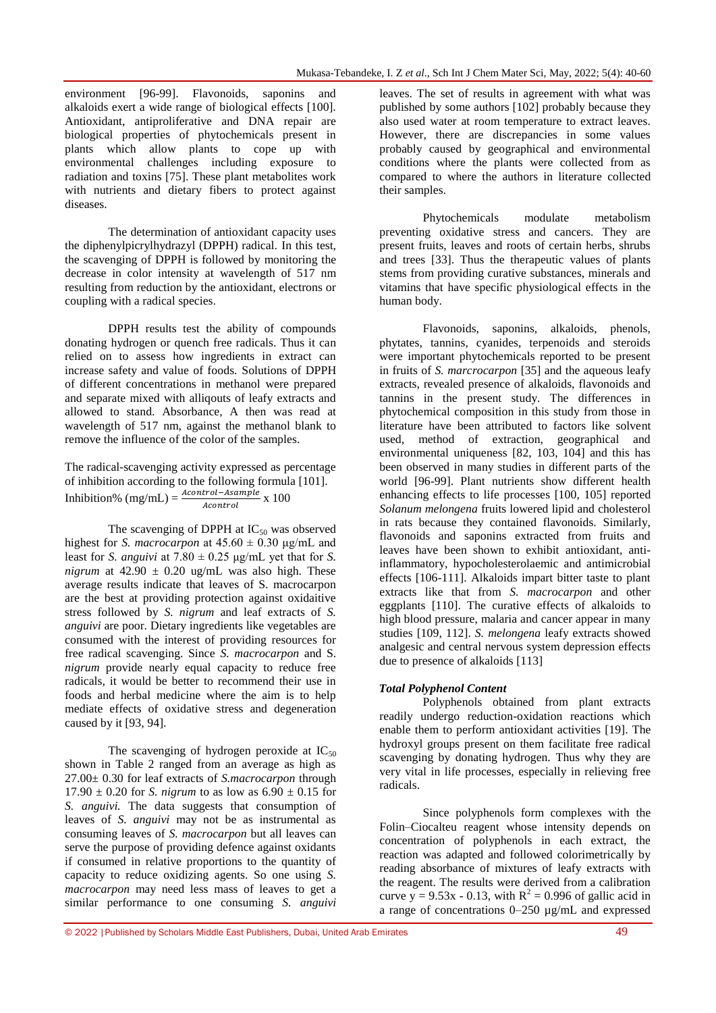environment [96-99]. Flavonoids, saponins and alkaloids exert a wide range of biological effects [100]. Antioxidant, antiproliferative and DNA repair are biological properties of phytochemicals present in plants which allow plants to cope up with environmental challenges including exposure to radiation and toxins [75]. These plant metabolites work with nutrients and dietary fibers to protect against diseases.

The determination of antioxidant capacity uses the diphenylpicrylhydrazyl (DPPH) radical. In this test, the scavenging of DPPH is followed by monitoring the decrease in color intensity at wavelength of 517 nm resulting from reduction by the antioxidant, electrons or coupling with a radical species.

DPPH results test the ability of compounds donating hydrogen or quench free radicals. Thus it can relied on to assess how ingredients in extract can increase safety and value of foods. Solutions of DPPH of different concentrations in methanol were prepared and separate mixed with alliqouts of leafy extracts and allowed to stand. Absorbance, A then was read at wavelength of 517 nm, against the methanol blank to remove the influence of the color of the samples.

The radical-scavenging activity expressed as percentage of inhibition according to the following formula [101]. Inhibition% (mg/mL) =  $\frac{A_{\text{contribution}}}{A_{\text{nontrain}}}$  x 100 Acontrol

The scavenging of DPPH at  $IC_{50}$  was observed highest for *S. macrocarpon* at  $45.60 \pm 0.30$  μg/mL and least for *S. anguivi* at  $7.80 \pm 0.25$   $\mu$ g/mL yet that for *S. nigrum* at  $42.90 \pm 0.20$  ug/mL was also high. These average results indicate that leaves of S. macrocarpon are the best at providing protection against oxidaitive stress followed by *S. nigrum* and leaf extracts of *S. anguivi* are poor. Dietary ingredients like vegetables are consumed with the interest of providing resources for free radical scavenging. Since *S. macrocarpon* and S. *nigrum* provide nearly equal capacity to reduce free radicals, it would be better to recommend their use in foods and herbal medicine where the aim is to help mediate effects of oxidative stress and degeneration caused by it [93, 94].

The scavenging of hydrogen peroxide at  $IC_{50}$ shown in Table 2 ranged from an average as high as 27.00± 0.30 for leaf extracts of *S.macrocarpon* through 17.90  $\pm$  0.20 for *S. nigrum* to as low as 6.90  $\pm$  0.15 for *S. anguivi.* The data suggests that consumption of leaves of *S. anguivi* may not be as instrumental as consuming leaves of *S. macrocarpon* but all leaves can serve the purpose of providing defence against oxidants if consumed in relative proportions to the quantity of capacity to reduce oxidizing agents. So one using *S. macrocarpon* may need less mass of leaves to get a similar performance to one consuming *S. anguivi* 

leaves. The set of results in agreement with what was published by some authors [102] probably because they also used water at room temperature to extract leaves. However, there are discrepancies in some values probably caused by geographical and environmental conditions where the plants were collected from as compared to where the authors in literature collected their samples.

Phytochemicals modulate metabolism preventing oxidative stress and cancers. They are present fruits, leaves and roots of certain herbs, shrubs and trees [33]. Thus the therapeutic values of plants stems from providing curative substances, minerals and vitamins that have specific physiological effects in the human body.

Flavonoids, saponins, alkaloids, phenols, phytates, tannins, cyanides, terpenoids and steroids were important phytochemicals reported to be present in fruits of *S. marcrocarpon* [35] and the aqueous leafy extracts, revealed presence of alkaloids, flavonoids and tannins in the present study. The differences in phytochemical composition in this study from those in literature have been attributed to factors like solvent used, method of extraction, geographical and environmental uniqueness [82, 103, 104] and this has been observed in many studies in different parts of the world [96-99]. Plant nutrients show different health enhancing effects to life processes [100, 105] reported *Solanum melongena* fruits lowered lipid and cholesterol in rats because they contained flavonoids. Similarly, flavonoids and saponins extracted from fruits and leaves have been shown to exhibit antioxidant, antiinflammatory, hypocholesterolaemic and antimicrobial effects [106-111]. Alkaloids impart bitter taste to plant extracts like that from *S. macrocarpon* and other eggplants [110]. The curative effects of alkaloids to high blood pressure, malaria and cancer appear in many studies [109, 112]. *S. melongena* leafy extracts showed analgesic and central nervous system depression effects due to presence of alkaloids [113]

#### *Total Polyphenol Content*

Polyphenols obtained from plant extracts readily undergo reduction-oxidation reactions which enable them to perform antioxidant activities [19]. The hydroxyl groups present on them facilitate free radical scavenging by donating hydrogen. Thus why they are very vital in life processes, especially in relieving free radicals.

Since polyphenols form complexes with the Folin–Ciocalteu reagent whose intensity depends on concentration of polyphenols in each extract, the reaction was adapted and followed colorimetrically by reading absorbance of mixtures of leafy extracts with the reagent. The results were derived from a calibration curve  $y = 9.53x - 0.13$ , with  $R^2 = 0.996$  of gallic acid in a range of concentrations 0–250 µg/mL and expressed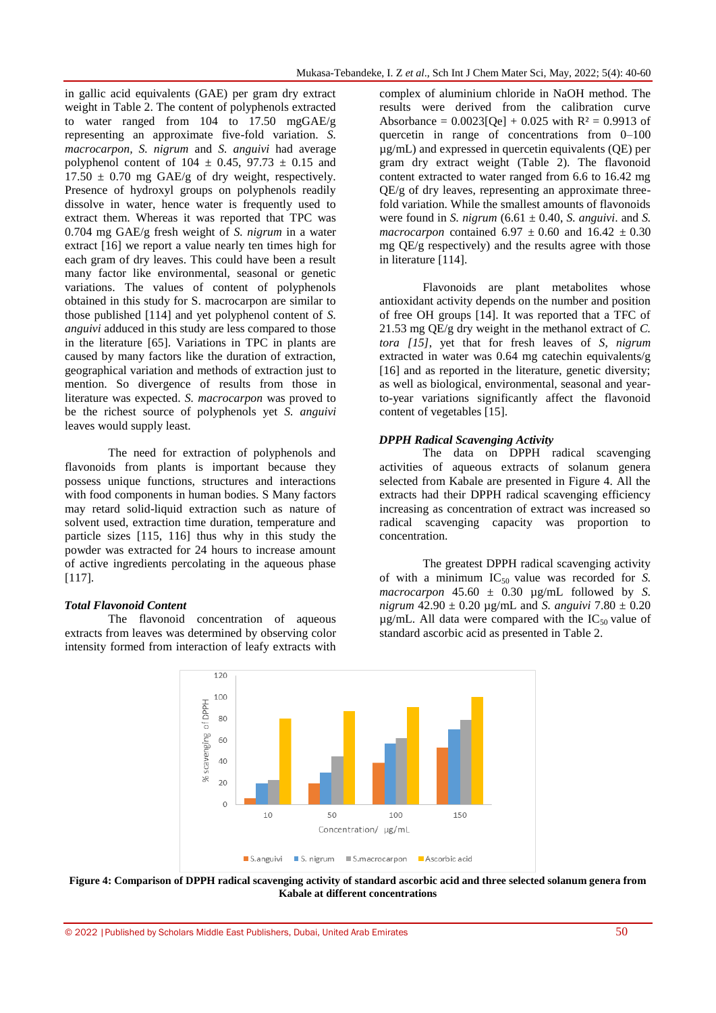in gallic acid equivalents (GAE) per gram dry extract weight in Table 2. The content of polyphenols extracted to water ranged from 104 to 17.50 mgGAE/g representing an approximate five-fold variation. *S. macrocarpon, S. nigrum* and *S. anguivi* had average polyphenol content of  $104 \pm 0.45$ ,  $97.73 \pm 0.15$  and  $17.50 \pm 0.70$  mg GAE/g of dry weight, respectively. Presence of hydroxyl groups on polyphenols readily dissolve in water, hence water is frequently used to extract them. Whereas it was reported that TPC was 0.704 mg GAE/g fresh weight of *S. nigrum* in a water extract [16] we report a value nearly ten times high for each gram of dry leaves. This could have been a result many factor like environmental, seasonal or genetic variations. The values of content of polyphenols obtained in this study for S. macrocarpon are similar to those published [114] and yet polyphenol content of *S. anguivi* adduced in this study are less compared to those in the literature [65]. Variations in TPC in plants are caused by many factors like the duration of extraction, geographical variation and methods of extraction just to mention. So divergence of results from those in literature was expected. *S. macrocarpon* was proved to be the richest source of polyphenols yet *S. anguivi* leaves would supply least.

The need for extraction of polyphenols and flavonoids from plants is important because they possess unique functions, structures and interactions with food components in human bodies. S Many factors may retard solid-liquid extraction such as nature of solvent used, extraction time duration, temperature and particle sizes [115, 116] thus why in this study the powder was extracted for 24 hours to increase amount of active ingredients percolating in the aqueous phase [117].

### *Total Flavonoid Content*

The flavonoid concentration of aqueous extracts from leaves was determined by observing color intensity formed from interaction of leafy extracts with

complex of aluminium chloride in NaOH method. The results were derived from the calibration curve Absorbance =  $0.0023$ [Oe] +  $0.025$  with R<sup>2</sup> = 0.9913 of quercetin in range of concentrations from 0–100 µg/mL) and expressed in quercetin equivalents (QE) per gram dry extract weight (Table 2). The flavonoid content extracted to water ranged from 6.6 to 16.42 mg QE/g of dry leaves, representing an approximate threefold variation. While the smallest amounts of flavonoids were found in *S. nigrum*  $(6.61 \pm 0.40, S$ . *anguivi*. and *S. macrocarpon* contained  $6.97 \pm 0.60$  and  $16.42 \pm 0.30$ mg QE/g respectively) and the results agree with those in literature [114].

Flavonoids are plant metabolites whose antioxidant activity depends on the number and position of free OH groups [14]. It was reported that a TFC of 21.53 mg QE/g dry weight in the methanol extract of *C. tora [15]*, yet that for fresh leaves of *S, nigrum* extracted in water was 0.64 mg catechin equivalents/g [16] and as reported in the literature, genetic diversity; as well as biological, environmental, seasonal and yearto-year variations significantly affect the flavonoid content of vegetables [15].

### *DPPH Radical Scavenging Activity*

The data on DPPH radical scavenging activities of aqueous extracts of solanum genera selected from Kabale are presented in Figure 4. All the extracts had their DPPH radical scavenging efficiency increasing as concentration of extract was increased so radical scavenging capacity was proportion to concentration.

The greatest DPPH radical scavenging activity of with a minimum  $IC_{50}$  value was recorded for *S*.  $macrocarpon$  45.60  $\pm$  0.30  $\mu$ g/mL followed by *S*. *nigrum* 42.90 ± 0.20 µg/mL and *S. anguivi* 7.80 ± 0.20  $\mu$ g/mL. All data were compared with the IC<sub>50</sub> value of standard ascorbic acid as presented in Table 2.



**Figure 4: Comparison of DPPH radical scavenging activity of standard ascorbic acid and three selected solanum genera from Kabale at different concentrations**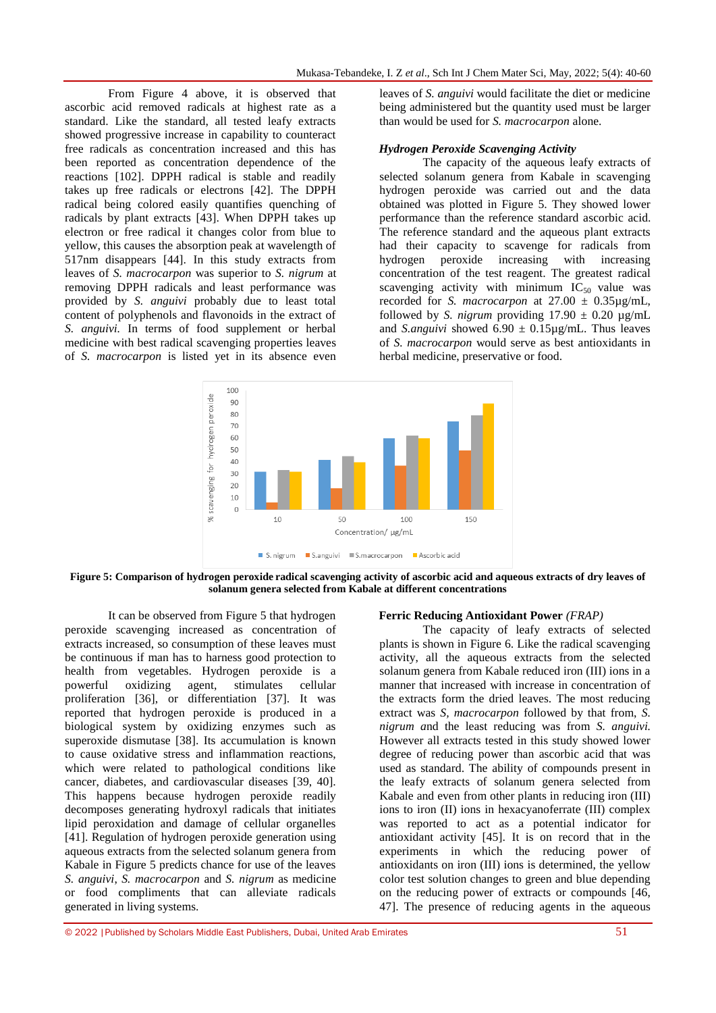From Figure 4 above, it is observed that ascorbic acid removed radicals at highest rate as a standard. Like the standard, all tested leafy extracts showed progressive increase in capability to counteract free radicals as concentration increased and this has been reported as concentration dependence of the reactions [102]. DPPH radical is stable and readily takes up free radicals or electrons [42]. The DPPH radical being colored easily quantifies quenching of radicals by plant extracts [43]. When DPPH takes up electron or free radical it changes color from blue to yellow, this causes the absorption peak at wavelength of 517nm disappears [44]. In this study extracts from leaves of *S. macrocarpon* was superior to *S. nigrum* at removing DPPH radicals and least performance was provided by *S. anguivi* probably due to least total content of polyphenols and flavonoids in the extract of *S. anguivi.* In terms of food supplement or herbal medicine with best radical scavenging properties leaves of *S. macrocarpon* is listed yet in its absence even

leaves of *S. anguivi* would facilitate the diet or medicine being administered but the quantity used must be larger than would be used for *S. macrocarpon* alone.

#### *Hydrogen Peroxide Scavenging Activity*

The capacity of the aqueous leafy extracts of selected solanum genera from Kabale in scavenging hydrogen peroxide was carried out and the data obtained was plotted in Figure 5. They showed lower performance than the reference standard ascorbic acid. The reference standard and the aqueous plant extracts had their capacity to scavenge for radicals from hydrogen peroxide increasing with increasing concentration of the test reagent. The greatest radical scavenging activity with minimum  $IC_{50}$  value was recorded for *S. macrocarpon* at 27.00 ± 0.35µg/mL, followed by *S. nigrum* providing  $17.90 \pm 0.20$  ug/mL and *S.anguivi* showed  $6.90 \pm 0.15 \mu$ g/mL. Thus leaves of *S. macrocarpon* would serve as best antioxidants in herbal medicine, preservative or food.



**Figure 5: Comparison of hydrogen peroxide radical scavenging activity of ascorbic acid and aqueous extracts of dry leaves of solanum genera selected from Kabale at different concentrations**

It can be observed from Figure 5 that hydrogen peroxide scavenging increased as concentration of extracts increased, so consumption of these leaves must be continuous if man has to harness good protection to health from vegetables. Hydrogen peroxide is a powerful oxidizing agent, stimulates cellular proliferation [36], or differentiation [37]. It was reported that hydrogen peroxide is produced in a biological system by oxidizing enzymes such as superoxide dismutase [38]. Its accumulation is known to cause oxidative stress and inflammation reactions, which were related to pathological conditions like cancer, diabetes, and cardiovascular diseases [39, 40]. This happens because hydrogen peroxide readily decomposes generating hydroxyl radicals that initiates lipid peroxidation and damage of cellular organelles [41]. Regulation of hydrogen peroxide generation using aqueous extracts from the selected solanum genera from Kabale in Figure 5 predicts chance for use of the leaves *S. anguivi*, *S. macrocarpon* and *S. nigrum* as medicine or food compliments that can alleviate radicals generated in living systems.

**Ferric Reducing Antioxidant Power** *(FRAP)*

The capacity of leafy extracts of selected plants is shown in Figure 6. Like the radical scavenging activity, all the aqueous extracts from the selected solanum genera from Kabale reduced iron (III) ions in a manner that increased with increase in concentration of the extracts form the dried leaves. The most reducing extract was *S, macrocarpon* followed by that from, *S. nigrum a*nd the least reducing was from *S. anguivi.*  However all extracts tested in this study showed lower degree of reducing power than ascorbic acid that was used as standard. The ability of compounds present in the leafy extracts of solanum genera selected from Kabale and even from other plants in reducing iron (III) ions to iron (II) ions in hexacyanoferrate (III) complex was reported to act as a potential indicator for antioxidant activity [45]. It is on record that in the experiments in which the reducing power of antioxidants on iron (III) ions is determined, the yellow color test solution changes to green and blue depending on the reducing power of extracts or compounds [46, 47]. The presence of reducing agents in the aqueous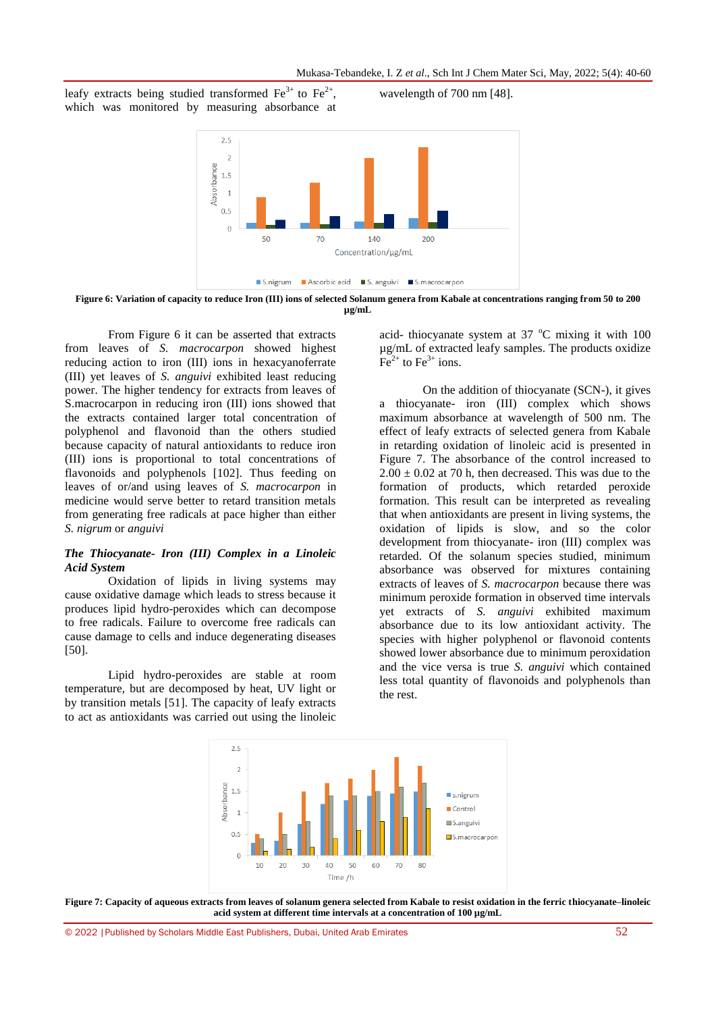wavelength of 700 nm [48].

leafy extracts being studied transformed  $\text{Fe}^{3+}$  to  $\text{Fe}^{2+}$ , which was monitored by measuring absorbance at



**Figure 6: Variation of capacity to reduce Iron (III) ions of selected Solanum genera from Kabale at concentrations ranging from 50 to 200 µg/mL**

From Figure 6 it can be asserted that extracts from leaves of *S. macrocarpon* showed highest reducing action to iron (III) ions in hexacyanoferrate (III) yet leaves of *S. anguivi* exhibited least reducing power. The higher tendency for extracts from leaves of S.macrocarpon in reducing iron (III) ions showed that the extracts contained larger total concentration of polyphenol and flavonoid than the others studied because capacity of natural antioxidants to reduce iron (III) ions is proportional to total concentrations of flavonoids and polyphenols [102]. Thus feeding on leaves of or/and using leaves of *S. macrocarpon* in medicine would serve better to retard transition metals from generating free radicals at pace higher than either *S. nigrum* or *anguivi*

### *The Thiocyanate- Iron (III) Complex in a Linoleic Acid System*

Oxidation of lipids in living systems may cause oxidative damage which leads to stress because it produces lipid hydro-peroxides which can decompose to free radicals. Failure to overcome free radicals can cause damage to cells and induce degenerating diseases [50].

Lipid hydro-peroxides are stable at room temperature, but are decomposed by heat, UV light or by transition metals [51]. The capacity of leafy extracts to act as antioxidants was carried out using the linoleic

acid- thiocyanate system at  $37^{\circ}$ C mixing it with 100 µg/mL of extracted leafy samples. The products oxidize  $Fe<sup>2+</sup>$  to Fe<sup>3+</sup> ions.

On the addition of thiocyanate (SCN-), it gives a thiocyanate- iron (III) complex which shows maximum absorbance at wavelength of 500 nm. The effect of leafy extracts of selected genera from Kabale in retarding oxidation of linoleic acid is presented in Figure 7. The absorbance of the control increased to  $2.00 \pm 0.02$  at 70 h, then decreased. This was due to the formation of products, which retarded peroxide formation. This result can be interpreted as revealing that when antioxidants are present in living systems, the oxidation of lipids is slow, and so the color development from thiocyanate- iron (III) complex was retarded. Of the solanum species studied, minimum absorbance was observed for mixtures containing extracts of leaves of *S. macrocarpon* because there was minimum peroxide formation in observed time intervals yet extracts of *S. anguivi* exhibited maximum absorbance due to its low antioxidant activity. The species with higher polyphenol or flavonoid contents showed lower absorbance due to minimum peroxidation and the vice versa is true *S. anguivi* which contained less total quantity of flavonoids and polyphenols than the rest.



**Figure 7: Capacity of aqueous extracts from leaves of solanum genera selected from Kabale to resist oxidation in the ferric thiocyanate–linoleic acid system at different time intervals at a concentration of 100 µg/mL**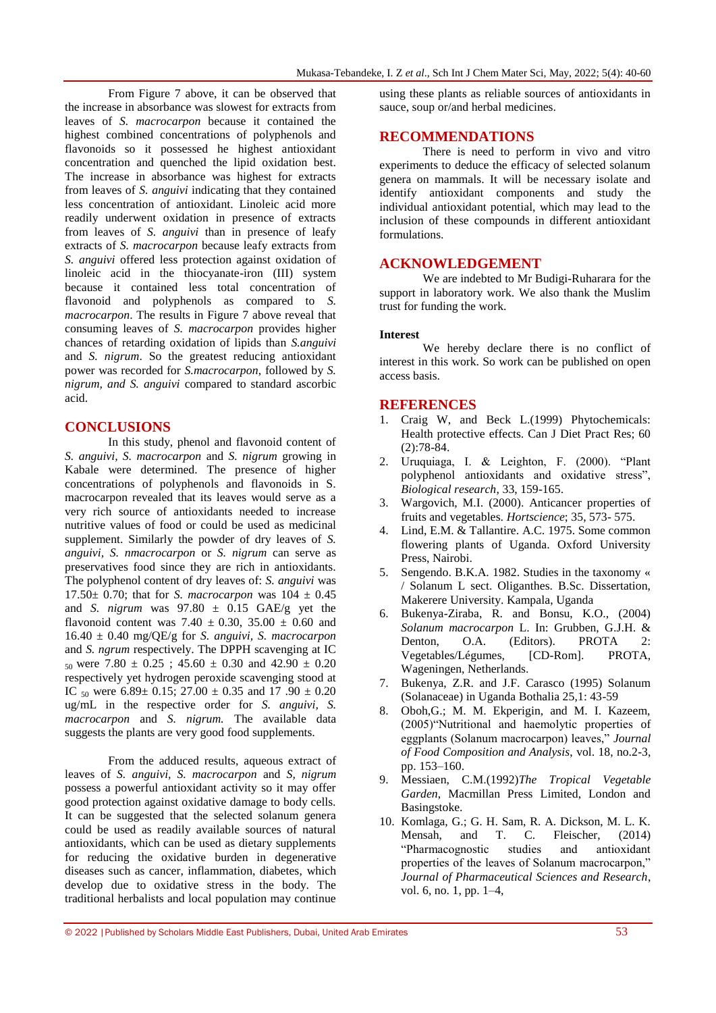From Figure 7 above, it can be observed that the increase in absorbance was slowest for extracts from leaves of *S. macrocarpon* because it contained the highest combined concentrations of polyphenols and flavonoids so it possessed he highest antioxidant concentration and quenched the lipid oxidation best. The increase in absorbance was highest for extracts from leaves of *S. anguivi* indicating that they contained less concentration of antioxidant. Linoleic acid more readily underwent oxidation in presence of extracts from leaves of *S. anguivi* than in presence of leafy extracts of *S. macrocarpon* because leafy extracts from *S. anguivi* offered less protection against oxidation of linoleic acid in the thiocyanate-iron (III) system because it contained less total concentration of flavonoid and polyphenols as compared to *S. macrocarpon*. The results in Figure 7 above reveal that consuming leaves of *S. macrocarpon* provides higher chances of retarding oxidation of lipids than *S.anguivi* and *S. nigrum*. So the greatest reducing antioxidant power was recorded for *S.macrocarpon*, followed by *S. nigrum, and S. anguivi* compared to standard ascorbic acid.

### **CONCLUSIONS**

In this study, phenol and flavonoid content of *S. anguivi, S. macrocarpon* and *S. nigrum* growing in Kabale were determined. The presence of higher concentrations of polyphenols and flavonoids in S. macrocarpon revealed that its leaves would serve as a very rich source of antioxidants needed to increase nutritive values of food or could be used as medicinal supplement. Similarly the powder of dry leaves of *S. anguivi, S. nmacrocarpon* or *S. nigrum* can serve as preservatives food since they are rich in antioxidants. The polyphenol content of dry leaves of: *S. anguivi* was 17.50 $\pm$  0.70; that for *S. macrocarpon* was  $104 \pm 0.45$ and *S. nigrum* was  $97.80 \pm 0.15$  GAE/g yet the flavonoid content was 7.40  $\pm$  0.30, 35.00  $\pm$  0.60 and 16.40 ± 0.40 mg/QE/g for *S. anguivi, S. macrocarpon* and *S. ngrum* respectively. The DPPH scavenging at IC  $_{50}$  were 7.80  $\pm$  0.25 ; 45.60  $\pm$  0.30 and 42.90  $\pm$  0.20 respectively yet hydrogen peroxide scavenging stood at IC  $_{50}$  were 6.89± 0.15; 27.00 ± 0.35 and 17.90 ± 0.20 ug/mL in the respective order for *S. anguivi, S. macrocarpon* and *S. nigrum.* The available data suggests the plants are very good food supplements.

From the adduced results, aqueous extract of leaves of *S. anguivi, S. macrocarpon* and *S, nigrum* possess a powerful antioxidant activity so it may offer good protection against oxidative damage to body cells. It can be suggested that the selected solanum genera could be used as readily available sources of natural antioxidants, which can be used as dietary supplements for reducing the oxidative burden in degenerative diseases such as cancer, inflammation, diabetes, which develop due to oxidative stress in the body. The traditional herbalists and local population may continue

using these plants as reliable sources of antioxidants in sauce, soup or/and herbal medicines.

### **RECOMMENDATIONS**

There is need to perform in vivo and vitro experiments to deduce the efficacy of selected solanum genera on mammals. It will be necessary isolate and identify antioxidant components and study the individual antioxidant potential, which may lead to the inclusion of these compounds in different antioxidant formulations.

### **ACKNOWLEDGEMENT**

We are indebted to Mr Budigi-Ruharara for the support in laboratory work. We also thank the Muslim trust for funding the work.

### **Interest**

We hereby declare there is no conflict of interest in this work. So work can be published on open access basis.

### **REFERENCES**

- 1. Craig W, and Beck L.(1999) Phytochemicals: Health protective effects. Can J Diet Pract Res; 60 (2):78-84.
- 2. Uruquiaga, I. & Leighton, F. (2000). "Plant polyphenol antioxidants and oxidative stress", *Biological research*, 33, 159-165.
- 3. Wargovich, M.I. (2000). Anticancer properties of fruits and vegetables. *Hortscience*; 35, 573- 575.
- 4. Lind, E.M. & Tallantire. A.C. 1975. Some common flowering plants of Uganda. Oxford University Press, Nairobi.
- 5. Sengendo. B.K.A. 1982. Studies in the taxonomy « / Solanum L sect. Oliganthes. B.Sc. Dissertation, Makerere University. Kampala, Uganda
- 6. Bukenya-Ziraba, R. and Bonsu, K.O., (2004) *Solanum macrocarpon* L. In: Grubben, G.J.H. & Denton, O.A. (Editors). PROTA 2: Vegetables/Légumes, [CD-Rom]. PROTA, Wageningen, Netherlands.
- 7. Bukenya, Z.R. and J.F. Carasco (1995) Solanum (Solanaceae) in Uganda Bothalia 25,1: 43-59
- 8. Oboh,G.; M. M. Ekperigin, and M. I. Kazeem, (2005)"Nutritional and haemolytic properties of eggplants (Solanum macrocarpon) leaves," *Journal of Food Composition and Analysis*, vol. 18, no.2-3, pp. 153–160.
- 9. Messiaen, C.M.(1992)*The Tropical Vegetable Garden*, Macmillan Press Limited, London and Basingstoke.
- 10. Komlaga, G.; G. H. Sam, R. A. Dickson, M. L. K. Mensah, and T. C. Fleischer, (2014) ―Pharmacognostic studies and antioxidant properties of the leaves of Solanum macrocarpon," *Journal of Pharmaceutical Sciences and Research*, vol. 6, no. 1, pp. 1–4,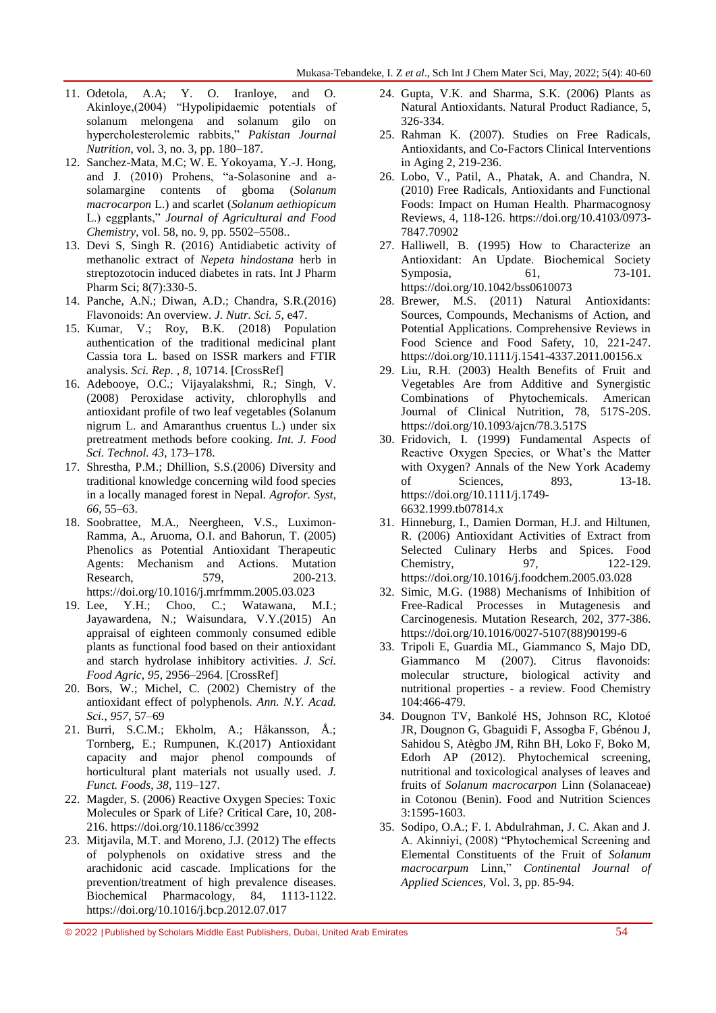- 11. Odetola, A.A; Y. O. Iranloye, and O. Akinloye,(2004) 
"Hypolipidaemic potentials of solanum melongena and solanum gilo on hypercholesterolemic rabbits,‖ *Pakistan Journal Nutrition*, vol. 3, no. 3, pp. 180–187.
- 12. Sanchez-Mata, M.C; W. E. Yokoyama, Y.-J. Hong, and J. (2010) Prohens, "a-Solasonine and asolamargine contents of gboma (*Solanum macrocarpon* L.) and scarlet (*Solanum aethiopicum* L.) eggplants,‖ *Journal of Agricultural and Food Chemistry*, vol. 58, no. 9, pp. 5502–5508..
- 13. Devi S, Singh R. (2016) Antidiabetic activity of methanolic extract of *Nepeta hindostana* herb in streptozotocin induced diabetes in rats. Int J Pharm Pharm Sci; 8(7):330-5.
- 14. Panche, A.N.; Diwan, A.D.; Chandra, S.R.(2016) Flavonoids: An overview. *J. Nutr. Sci. 5*, e47.
- 15. Kumar, V.; Roy, B.K. (2018) Population authentication of the traditional medicinal plant Cassia tora L. based on ISSR markers and FTIR analysis. *Sci. Rep.* , *8*, 10714. [\[CrossRef\]](http://dx.doi.org/10.1038/s41598-018-29114-1)
- 16. Adebooye, O.C.; Vijayalakshmi, R.; Singh, V. (2008) Peroxidase activity, chlorophylls and antioxidant profile of two leaf vegetables (Solanum nigrum L. and Amaranthus cruentus L.) under six pretreatment methods before cooking. *Int. J. Food Sci. Technol. 43*, 173–178.
- 17. Shrestha, P.M.; Dhillion, S.S.(2006) Diversity and traditional knowledge concerning wild food species in a locally managed forest in Nepal. *Agrofor. Syst*, *66*, 55–63.
- 18. Soobrattee, M.A., Neergheen, V.S., Luximon-Ramma, A., Aruoma, O.I. and Bahorun, T. (2005) Phenolics as Potential Antioxidant Therapeutic Agents: Mechanism and Actions. Mutation Research, 579, 200-213. [https://do](https://d/)i.org/10.1016/j.mrfmmm.2005.03.023
- 19. Lee, Y.H.; Choo, C.; Watawana, M.I.; Jayawardena, N.; Waisundara, V.Y.(2015) An appraisal of eighteen commonly consumed edible plants as functional food based on their antioxidant and starch hydrolase inhibitory activities. *J. Sci. Food Agric*, *95*, 2956–2964. [\[CrossRef\]](http://dx.doi.org/10.1002/jsfa.7039)
- 20. Bors, W.; Michel, C. (2002) Chemistry of the antioxidant effect of polyphenols. *Ann. N.Y. Acad. Sci.*, *957*, 57–69
- 21. Burri, S.C.M.; Ekholm, A.; Håkansson, Å.; Tornberg, E.; Rumpunen, K.(2017) Antioxidant capacity and major phenol compounds of horticultural plant materials not usually used. *J. Funct. Foods*, *38*, 119–127.
- 22. Magder, S. (2006) Reactive Oxygen Species: Toxic Molecules or Spark of Life? Critical Care, 10, 208- 216.<https://doi.org/10.1186/cc3992>
- 23. Mitjavila, M.T. and Moreno, J.J. (2012) The effects of polyphenols on oxidative stress and the arachidonic acid cascade. Implications for the prevention/treatment of high prevalence diseases. Biochemical Pharmacology, 84, 1113-1122. <https://doi.org/10.1016/j.bcp.2012.07.017>
- 24. Gupta, V.K. and Sharma, S.K. (2006) Plants as Natural Antioxidants. Natural Product Radiance, 5, 326-334.
- 25. Rahman K. (2007). Studies on Free Radicals, Antioxidants, and Co-Factors Clinical Interventions in Aging 2, 219-236.
- 26. Lobo, V., Patil, A., Phatak, A. and Chandra, N. (2010) Free Radicals, Antioxidants and Functional Foods: Impact on Human Health. Pharmacognosy Reviews, 4, 118-126. [https://doi.org/10.4103/0973-](https://doi.org/10.4103/0973-7847.70902) [7847.70902](https://doi.org/10.4103/0973-7847.70902)
- 27. Halliwell, B. (1995) How to Characterize an Antioxidant: An Update. Biochemical Society Symposia. 61, 73-101. <https://doi.org/10.1042/bss0610073>
- 28. Brewer, M.S. (2011) Natural Antioxidants: Sources, Compounds, Mechanisms of Action, and Potential Applications. Comprehensive Reviews in Food Science and Food Safety, 10, 221-247. <https://doi.org/10.1111/j.1541-4337.2011.00156.x>
- 29. Liu, R.H. (2003) Health Benefits of Fruit and Vegetables Are from Additive and Synergistic Combinations of Phytochemicals. American Journal of Clinical Nutrition, 78, 517S-20S. <https://doi.org/10.1093/ajcn/78.3.517S>
- 30. Fridovich, I. (1999) Fundamental Aspects of Reactive Oxygen Species, or What's the Matter with Oxygen? Annals of the New York Academy of Sciences, 893, 13-18. [https://doi.org/10.1111/j.1749-](https://doi.org/10.1111/j.1749-6632.1999.tb07814.x) [6632.1999.tb07814.x](https://doi.org/10.1111/j.1749-6632.1999.tb07814.x)
- 31. Hinneburg, I., Damien Dorman, H.J. and Hiltunen, R. (2006) Antioxidant Activities of Extract from Selected Culinary Herbs and Spices. Food Chemistry, 97, 122-129. <https://doi.org/10.1016/j.foodchem.2005.03.028>
- 32. Simic, M.G. (1988) Mechanisms of Inhibition of Free-Radical Processes in Mutagenesis and Carcinogenesis. Mutation Research, 202, 377-386. [https://doi.org/10.1016/0027-5107\(88\)90199-6](https://doi.org/10.1016/0027-5107(88)90199-6)
- 33. Tripoli E, Guardia ML, Giammanco S, Majo DD, Giammanco M (2007). Citrus flavonoids: molecular structure, biological activity and nutritional properties - a review. Food Chemistry 104:466-479.
- 34. Dougnon TV, Bankolé HS, Johnson RC, Klotoé JR, Dougnon G, Gbaguidi F, Assogba F, Gbénou J, Sahidou S, Atègbo JM, Rihn BH, Loko F, Boko M, Edorh AP (2012). Phytochemical screening, nutritional and toxicological analyses of leaves and fruits of *Solanum macrocarpon* Linn (Solanaceae) in Cotonou (Benin). Food and Nutrition Sciences 3:1595-1603.
- 35. Sodipo, O.A.; F. I. Abdulrahman, J. C. Akan and J. A. Akinniyi, (2008) "Phytochemical Screening and Elemental Constituents of the Fruit of *Solanum macrocarpum* Linn,‖ *Continental Journal of Applied Sciences*, Vol. 3, pp. 85-94.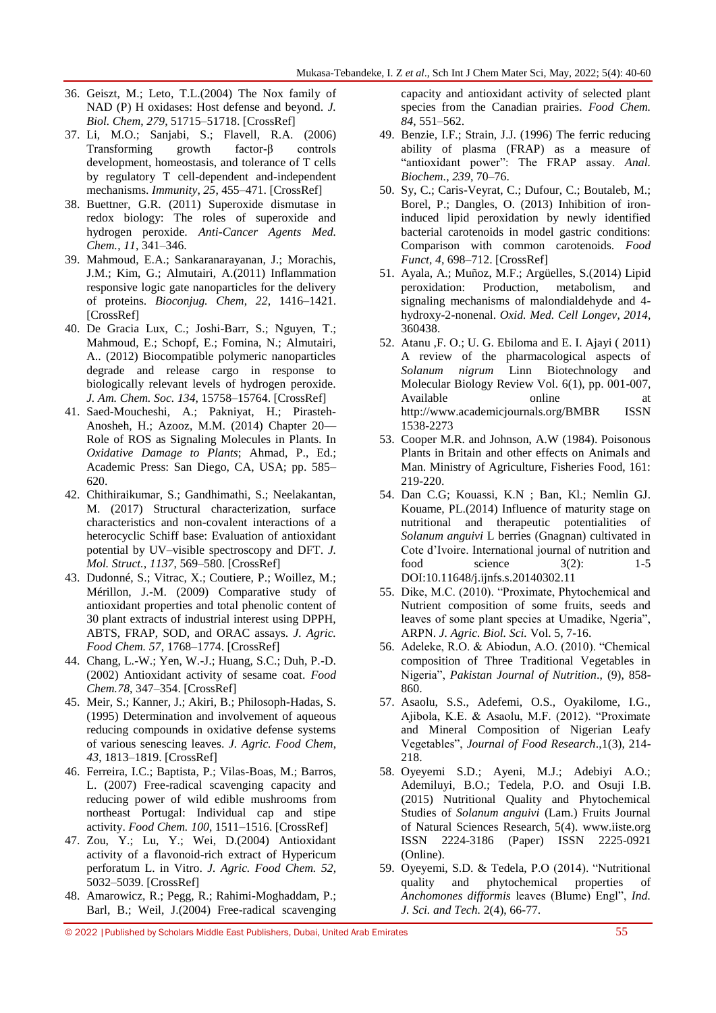- 36. Geiszt, M.; Leto, T.L.(2004) The Nox family of NAD (P) H oxidases: Host defense and beyond. *J. Biol. Chem*, *279*, 51715–51718. [\[CrossRef\]](http://dx.doi.org/10.1074/jbc.R400024200)
- 37. Li, M.O.; Sanjabi, S.; Flavell, R.A. (2006) Transforming growth factor-β controls development, homeostasis, and tolerance of T cells by regulatory T cell-dependent and-independent mechanisms. *Immunity*, *25*, 455–471. [\[CrossRef\]](http://dx.doi.org/10.1016/j.immuni.2006.07.011)
- 38. Buettner, G.R. (2011) Superoxide dismutase in redox biology: The roles of superoxide and hydrogen peroxide. *Anti-Cancer Agents Med. Chem.*, *11*, 341–346.
- 39. Mahmoud, E.A.; Sankaranarayanan, J.; Morachis, J.M.; Kim, G.; Almutairi, A.(2011) Inflammation responsive logic gate nanoparticles for the delivery of proteins. *Bioconjug. Chem*, *22*, 1416–1421. [\[CrossRef\]](http://dx.doi.org/10.1021/bc200141h)
- 40. De Gracia Lux, C.; Joshi-Barr, S.; Nguyen, T.; Mahmoud, E.; Schopf, E.; Fomina, N.; Almutairi, A.. (2012) Biocompatible polymeric nanoparticles degrade and release cargo in response to biologically relevant levels of hydrogen peroxide. *J. Am. Chem. Soc. 134*, 15758–15764. [CrossRef]
- 41. Saed-Moucheshi, A.; Pakniyat, H.; Pirasteh-Anosheh, H.; Azooz, M.M. (2014) Chapter 20— Role of ROS as Signaling Molecules in Plants. In *Oxidative Damage to Plants*; Ahmad, P., Ed.; Academic Press: San Diego, CA, USA; pp. 585– 620.
- 42. Chithiraikumar, S.; Gandhimathi, S.; Neelakantan, M. (2017) Structural characterization, surface characteristics and non-covalent interactions of a heterocyclic Schiff base: Evaluation of antioxidant potential by UV–visible spectroscopy and DFT. *J. Mol. Struct.*, *1137*, 569–580. [\[CrossRef\]](http://dx.doi.org/10.1016/j.molstruc.2017.02.088)
- 43. Dudonné, S.; Vitrac, X.; Coutiere, P.; Woillez, M.; Mérillon, J.-M. (2009) Comparative study of antioxidant properties and total phenolic content of 30 plant extracts of industrial interest using DPPH, ABTS, FRAP, SOD, and ORAC assays. *J. Agric. Food Chem. 57*, 1768–1774. [\[CrossRef\]](http://dx.doi.org/10.1021/jf803011r)
- 44. Chang, L.-W.; Yen, W.-J.; Huang, S.C.; Duh, P.-D. (2002) Antioxidant activity of sesame coat. *Food Chem.78*, 347–354. [\[CrossRef\]](http://dx.doi.org/10.1016/S0308-8146(02)00119-X)
- 45. Meir, S.; Kanner, J.; Akiri, B.; Philosoph-Hadas, S. (1995) Determination and involvement of aqueous reducing compounds in oxidative defense systems of various senescing leaves. *J. Agric. Food Chem*, *43*, 1813–1819. [CrossRef]
- 46. Ferreira, I.C.; Baptista, P.; Vilas-Boas, M.; Barros, L. (2007) Free-radical scavenging capacity and reducing power of wild edible mushrooms from northeast Portugal: Individual cap and stipe activity. *Food Chem. 100*, 1511–1516. [CrossRef]
- 47. Zou, Y.; Lu, Y.; Wei, D.(2004) Antioxidant activity of a flavonoid-rich extract of Hypericum perforatum L. in Vitro. *J. Agric. Food Chem. 52*, 5032–5039. [CrossRef]
- 48. Amarowicz, R.; Pegg, R.; Rahimi-Moghaddam, P.; Barl, B.; Weil, J.(2004) Free-radical scavenging

capacity and antioxidant activity of selected plant species from the Canadian prairies. *Food Chem. 84*, 551–562.

- 49. Benzie, I.F.; Strain, J.J. (1996) The ferric reducing ability of plasma (FRAP) as a measure of "antioxidant power": The FRAP assay. Anal. *Biochem.*, *239*, 70–76.
- 50. Sy, C.; Caris-Veyrat, C.; Dufour, C.; Boutaleb, M.; Borel, P.; Dangles, O. (2013) Inhibition of ironinduced lipid peroxidation by newly identified bacterial carotenoids in model gastric conditions: Comparison with common carotenoids. *Food Funct*, *4*, 698–712. [CrossRef]
- 51. Ayala, A.; Muñoz, M.F.; Argüelles, S.(2014) Lipid peroxidation: Production, metabolism, and signaling mechanisms of malondialdehyde and 4 hydroxy-2-nonenal. *Oxid. Med. Cell Longev*, *2014*, 360438.
- 52. Atanu ,F. O.; U. G. Ebiloma and E. I. Ajayi ( 2011) A review of the pharmacological aspects of *Solanum nigrum* Linn Biotechnology and Molecular Biology Review Vol. 6(1), pp. 001-007, Available online at <http://www.academicjournals.org/BMBR> ISSN 1538-2273
- 53. Cooper M.R. and Johnson, A.W (1984). Poisonous Plants in Britain and other effects on Animals and Man. Ministry of Agriculture, Fisheries Food, 161: 219-220.
- 54. Dan C.G; Kouassi, K.N ; Ban, Kl.; Nemlin GJ. Kouame, PL.(2014) Influence of maturity stage on nutritional and therapeutic potentialities of *Solanum anguivi* L berries (Gnagnan) cultivated in Cote d'Ivoire. International journal of nutrition and food science  $3(2)$ : 1-5 DOI:10.11648/j.ijnfs.s.20140302.11
- 55. Dike, M.C. (2010). "Proximate, Phytochemical and Nutrient composition of some fruits, seeds and leaves of some plant species at Umadike, Ngeria", ARPN. *J. Agric. Biol. Sci.* Vol. 5, 7-16.
- 56. Adeleke, R.O. & Abiodun, A.O. (2010). "Chemical composition of Three Traditional Vegetables in Nigeria‖, *Pakistan Journal of Nutrition*., (9), 858- 860.
- 57. Asaolu, S.S., Adefemi, O.S., Oyakilome, I.G., Ajibola, K.E. & Asaolu, M.F. (2012). "Proximate and Mineral Composition of Nigerian Leafy Vegetables‖, *Journal of Food Research*.,1(3), 214- 218.
- 58. Oyeyemi S.D.; Ayeni, M.J.; Adebiyi A.O.; Ademiluyi, B.O.; Tedela, P.O. and Osuji I.B. (2015) Nutritional Quality and Phytochemical Studies of *Solanum anguivi* (Lam.) Fruits Journal of Natural Sciences Research, 5(4). [www.iiste.org](http://www.iiste.org/) ISSN 2224-3186 (Paper) ISSN 2225-0921 (Online).
- 59. Oyeyemi, S.D. & Tedela, P.O (2014). "Nutritional quality and phytochemical properties of *Anchomones difformis leaves (Blume) Engl", Ind. J. Sci. and Tech.* 2(4), 66-77.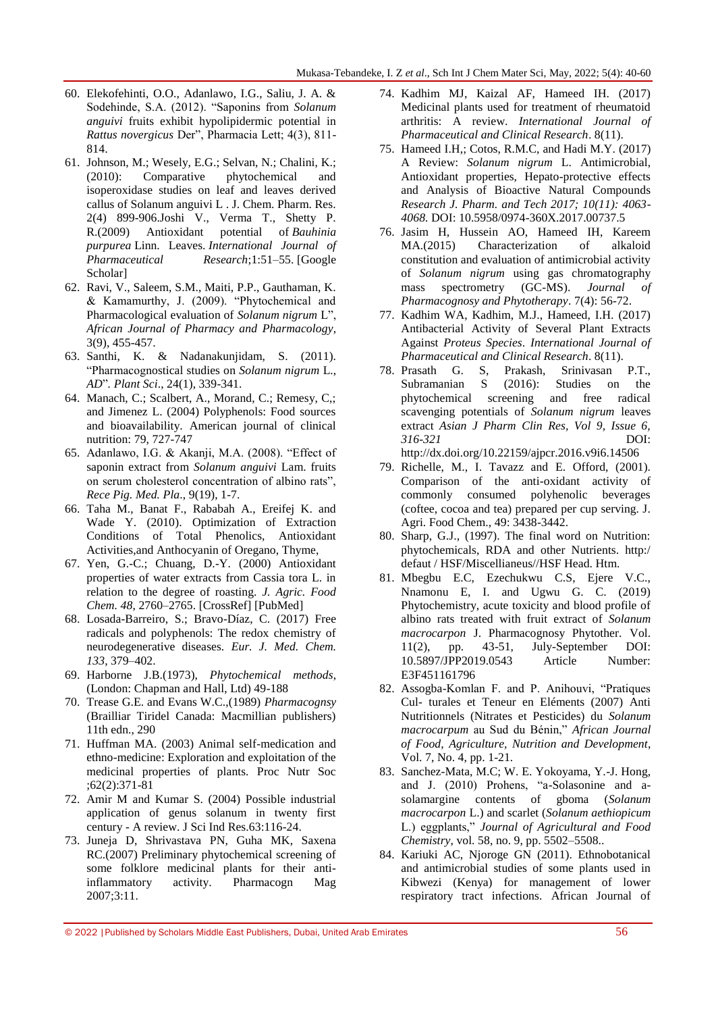- 60. Elekofehinti, O.O., Adanlawo, I.G., Saliu, J. A. & Sodehinde, S.A. (2012). "Saponins from *Solanum anguivi* fruits exhibit hypolipidermic potential in *Rattus novergicus Der"*, Pharmacia Lett; 4(3), 811-814.
- 61. Johnson, M.; Wesely, E.G.; Selvan, N.; Chalini, K.; (2010): Comparative phytochemical and isoperoxidase studies on leaf and leaves derived callus of Solanum anguivi L . J. Chem. Pharm. Res. 2(4) 899-906.Joshi V., Verma T., Shetty P. R.(2009) Antioxidant potential of *Bauhinia purpurea* Linn. Leaves. *International Journal of Pharmaceutical Research*;1:51–55. [\[Google](https://scholar.google.com/scholar_lookup?journal=International+Journal+of+Pharmaceutical+Research&title=Antioxidant+potential+of+Bauhinia+purpurea+Linn.+Leaves&author=V.+Joshi&author=T.+Verma&author=P.+R.+Shetty&volume=1&publication_year=2009&pages=51-55&)  [Scholar\]](https://scholar.google.com/scholar_lookup?journal=International+Journal+of+Pharmaceutical+Research&title=Antioxidant+potential+of+Bauhinia+purpurea+Linn.+Leaves&author=V.+Joshi&author=T.+Verma&author=P.+R.+Shetty&volume=1&publication_year=2009&pages=51-55&)
- 62. Ravi, V., Saleem, S.M., Maiti, P.P., Gauthaman, K. & Kamamurthy, J. (2009). "Phytochemical and Pharmacological evaluation of *Solanum nigrum* L", *African Journal of Pharmacy and Pharmacology*, 3(9), 455-457.
- 63. Santhi, K. & Nadanakunjidam, S. (2011). ―Pharmacognostical studies on *Solanum nigrum* L., *AD*"*. Plant Sci.*, 24(1), 339-341.
- 64. Manach, C.; Scalbert, A., Morand, C.; Remesy, C,; and Jimenez L. (2004) Polyphenols: Food sources and bioavailability. American journal of clinical nutrition: 79, 727-747
- 65. Adanlawo, I.G. & Akanji, M.A. (2008). "Effect of saponin extract from *Solanum anguivi* Lam. fruits on serum cholesterol concentration of albino rats", *Rece Pig. Med. Pla*., 9(19), 1-7.
- 66. Taha M., Banat F., Rababah A., Ereifej K. and Wade Y. (2010). Optimization of Extraction Conditions of Total Phenolics, Antioxidant Activities,and Anthocyanin of Oregano, Thyme,
- 67. Yen, G.-C.; Chuang, D.-Y. (2000) Antioxidant properties of water extracts from Cassia tora L. in relation to the degree of roasting. *J. Agric. Food Chem. 48*, 2760–2765. [\[CrossRef\]](http://dx.doi.org/10.1021/jf991010q) [\[PubMed\]](http://www.ncbi.nlm.nih.gov/pubmed/10898619)
- 68. Losada-Barreiro, S.; Bravo-Díaz, C. (2017) Free radicals and polyphenols: The redox chemistry of neurodegenerative diseases. *Eur. J. Med. Chem. 133*, 379–402.
- 69. Harborne J.B.(1973), *Phytochemical methods*, (London: Chapman and Hall, Ltd) 49-188
- 70. Trease G.E. and Evans W.C.,(1989) *Pharmacognsy*  (Brailliar Tiridel Canada: Macmillian publishers) 11th edn., 290
- 71. Huffman MA. (2003) Animal self-medication and ethno-medicine: Exploration and exploitation of the medicinal properties of plants. Proc Nutr Soc ;62(2):371-81
- 72. Amir M and Kumar S. (2004) Possible industrial application of genus solanum in twenty first century - A review. J Sci Ind Res.63:116-24.
- 73. Juneja D, Shrivastava PN, Guha MK, Saxena RC.(2007) Preliminary phytochemical screening of some folklore medicinal plants for their antiinflammatory activity. Pharmacogn Mag 2007;3:11.
- 74. Kadhim MJ, Kaizal AF, Hameed IH. (2017) Medicinal plants used for treatment of rheumatoid arthritis: A review. *International Journal of Pharmaceutical and Clinical Research*. 8(11).
- 75. Hameed I.H,; Cotos, R.M.C, and Hadi M.Y. (2017) A Review: *Solanum nigrum* L. Antimicrobial, Antioxidant properties, Hepato-protective effects and Analysis of Bioactive Natural Compounds *Research J. Pharm. and Tech 2017; 10(11): 4063- 4068.* DOI: 10.5958/0974-360X.2017.00737.5
- 76. Jasim H, Hussein AO, Hameed IH, Kareem MA.(2015) Characterization of alkaloid constitution and evaluation of antimicrobial activity of *Solanum nigrum* using gas chromatography mass spectrometry (GC-MS). *Journal of Pharmacognosy and Phytotherapy*. 7(4): 56-72.
- 77. Kadhim WA, Kadhim, M.J., Hameed, I.H. (2017) Antibacterial Activity of Several Plant Extracts Against *Proteus Species*. *International Journal of Pharmaceutical and Clinical Research*. 8(11).
- 78. Prasath G. S, Prakash, Srinivasan P.T., Subramanian S (2016): Studies on the phytochemical screening and free radical scavenging potentials of *Solanum nigrum* leaves extract *Asian J Pharm Clin Res, Vol 9, Issue 6, 316-321* DOI: <http://dx.doi.org/10.22159/ajpcr.2016.v9i6.14506>
- 79. Richelle, M., I. Tavazz and E. Offord, (2001). Comparison of the anti-oxidant activity of commonly consumed polyhenolic beverages (coftee, cocoa and tea) prepared per cup serving. J. Agri. Food Chem., 49: 3438-3442.
- 80. Sharp, G.J., (1997). The final word on Nutrition: phytochemicals, RDA and other Nutrients. http:/ defaut / HSF/Miscellianeus//HSF Head. Htm.
- 81. Mbegbu E.C, Ezechukwu C.S, Ejere V.C., Nnamonu E, I. and Ugwu G. C. (2019) Phytochemistry, acute toxicity and blood profile of albino rats treated with fruit extract of *Solanum macrocarpon* J. Pharmacognosy Phytother. Vol. 11(2), pp. 43-51, July-September DOI: 10.5897/JPP2019.0543 Article Number: E3F451161796
- 82. Assogba-Komlan F. and P. Anihouvi, "Pratiques Cul- turales et Teneur en Eléments (2007) Anti Nutritionnels (Nitrates et Pesticides) du *Solanum macrocarpum* au Sud du Bénin,‖ *African Journal of Food, Agriculture, Nutrition and Development*, Vol. 7, No. 4, pp. 1-21.
- 83. Sanchez-Mata, M.C; W. E. Yokoyama, Y.-J. Hong, and J. (2010) Prohens, "a-Solasonine and asolamargine contents of gboma (*Solanum macrocarpon* L.) and scarlet (*Solanum aethiopicum* L.) eggplants,‖ *Journal of Agricultural and Food Chemistry*, vol. 58, no. 9, pp. 5502–5508..
- 84. Kariuki AC, Njoroge GN (2011). Ethnobotanical and antimicrobial studies of some plants used in Kibwezi (Kenya) for management of lower respiratory tract infections. African Journal of

<sup>© 2022</sup> |Published by Scholars Middle East Publishers, Dubai, United Arab Emirates 56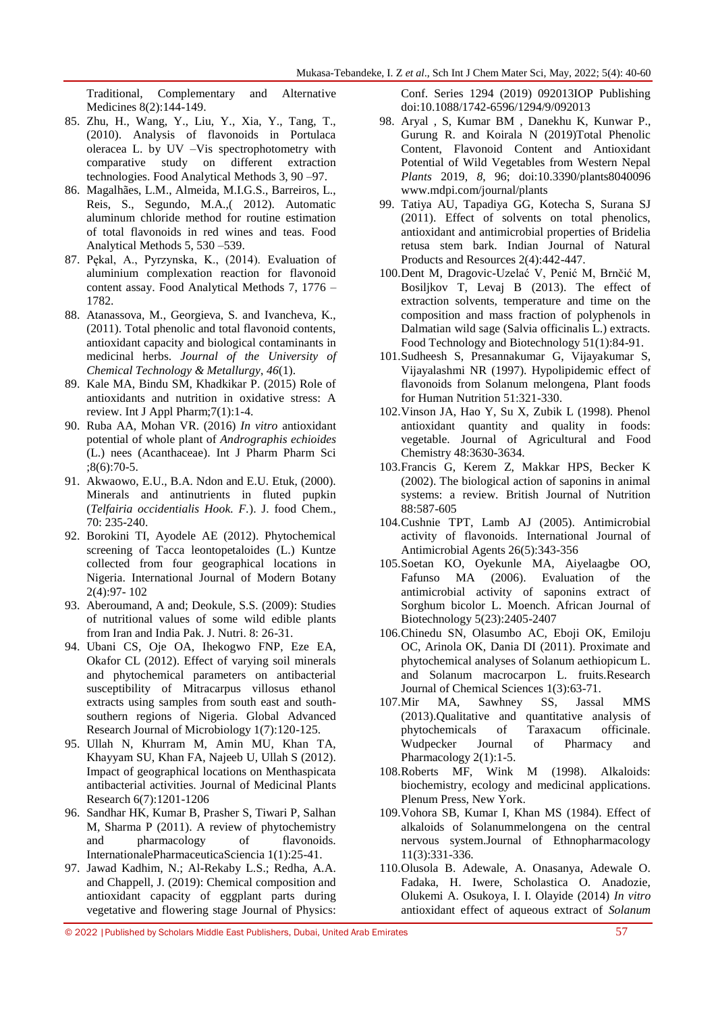Traditional, Complementary and Alternative Medicines 8(2):144-149.

- 85. Zhu, H., Wang, Y., Liu, Y., Xia, Y., Tang, T., (2010). Analysis of flavonoids in Portulaca oleracea L. by UV –Vis spectrophotometry with comparative study on different extraction technologies. Food Analytical Methods 3, 90 –97.
- 86. Magalhães, L.M., Almeida, M.I.G.S., Barreiros, L., Reis, S., Segundo, M.A.,( 2012). Automatic aluminum chloride method for routine estimation of total flavonoids in red wines and teas. Food Analytical Methods 5, 530 –539.
- 87. Pękal, A., Pyrzynska, K., (2014). Evaluation of aluminium complexation reaction for flavonoid content assay. Food Analytical Methods 7, 1776 – 1782.
- 88. Atanassova, M., Georgieva, S. and Ivancheva, K., (2011). Total phenolic and total flavonoid contents, antioxidant capacity and biological contaminants in medicinal herbs. *Journal of the University of Chemical Technology & Metallurgy*, *46*(1).
- 89. Kale MA, Bindu SM, Khadkikar P. (2015) Role of antioxidants and nutrition in oxidative stress: A review. Int J Appl Pharm;7(1):1-4.
- 90. Ruba AA, Mohan VR. (2016) *In vitro* antioxidant potential of whole plant of *Andrographis echioides*  (L.) nees (Acanthaceae). Int J Pharm Pharm Sci ;8(6):70-5.
- 91. Akwaowo, E.U., B.A. Ndon and E.U. Etuk, (2000). Minerals and antinutrients in fluted pupkin (*Telfairia occidentialis Hook. F.*). J. food Chem., 70: 235-240.
- 92. Borokini TI, Ayodele AE (2012). Phytochemical screening of Tacca leontopetaloides (L.) Kuntze collected from four geographical locations in Nigeria. International Journal of Modern Botany 2(4):97- 102
- 93. Aberoumand, A and; Deokule, S.S. (2009): Studies of nutritional values of some wild edible plants from Iran and India Pak. J. Nutri. 8: 26-31.
- 94. Ubani CS, Oje OA, Ihekogwo FNP, Eze EA, Okafor CL (2012). Effect of varying soil minerals and phytochemical parameters on antibacterial susceptibility of Mitracarpus villosus ethanol extracts using samples from south east and southsouthern regions of Nigeria. Global Advanced Research Journal of Microbiology 1(7):120-125.
- 95. Ullah N, Khurram M, Amin MU, Khan TA, Khayyam SU, Khan FA, Najeeb U, Ullah S (2012). Impact of geographical locations on Menthaspicata antibacterial activities. Journal of Medicinal Plants Research 6(7):1201-1206
- 96. Sandhar HK, Kumar B, Prasher S, Tiwari P, Salhan M, Sharma P (2011). A review of phytochemistry and pharmacology of flavonoids. InternationalePharmaceuticaSciencia 1(1):25-41.
- 97. Jawad Kadhim, N.; Al-Rekaby L.S.; Redha, A.A. and Chappell, J. (2019): Chemical composition and antioxidant capacity of eggplant parts during vegetative and flowering stage Journal of Physics:

Conf. Series 1294 (2019) 092013IOP Publishing doi:10.1088/1742-6596/1294/9/092013

- 98. Aryal , S, Kumar BM , Danekhu K, Kunwar P., Gurung R. and Koirala N (2019)Total Phenolic Content, Flavonoid Content and Antioxidant Potential of Wild Vegetables from Western Nepal *Plants* 2019, *8*, 96; doi:10.3390/plants8040096 www.mdpi.com/journal/plants
- 99. Tatiya AU, Tapadiya GG, Kotecha S, Surana SJ (2011). Effect of solvents on total phenolics, antioxidant and antimicrobial properties of Bridelia retusa stem bark. Indian Journal of Natural Products and Resources 2(4):442-447.
- 100.Dent M, Dragovic-Uzelać V, Penić M, Brnčić M, Bosiljkov T, Levaj B (2013). The effect of extraction solvents, temperature and time on the composition and mass fraction of polyphenols in Dalmatian wild sage (Salvia officinalis L.) extracts. Food Technology and Biotechnology 51(1):84-91.
- 101.Sudheesh S, Presannakumar G, Vijayakumar S, Vijayalashmi NR (1997). Hypolipidemic effect of flavonoids from Solanum melongena, Plant foods for Human Nutrition 51:321-330.
- 102.Vinson JA, Hao Y, Su X, Zubik L (1998). Phenol antioxidant quantity and quality in foods: vegetable. Journal of Agricultural and Food Chemistry 48:3630-3634.
- 103.Francis G, Kerem Z, Makkar HPS, Becker K (2002). The biological action of saponins in animal systems: a review. British Journal of Nutrition 88:587-605
- 104.Cushnie TPT, Lamb AJ (2005). Antimicrobial activity of flavonoids. International Journal of Antimicrobial Agents 26(5):343-356
- 105.Soetan KO, Oyekunle MA, Aiyelaagbe OO, Fafunso MA (2006). Evaluation of the antimicrobial activity of saponins extract of Sorghum bicolor L. Moench. African Journal of Biotechnology 5(23):2405-2407
- 106.Chinedu SN, Olasumbo AC, Eboji OK, Emiloju OC, Arinola OK, Dania DI (2011). Proximate and phytochemical analyses of Solanum aethiopicum L. and Solanum macrocarpon L. fruits.Research Journal of Chemical Sciences 1(3):63-71.
- 107.Mir MA, Sawhney SS, Jassal MMS (2013).Qualitative and quantitative analysis of phytochemicals of Taraxacum officinale. Wudpecker Journal of Pharmacy and Pharmacology 2(1):1-5.
- 108.Roberts MF, Wink M (1998). Alkaloids: biochemistry, ecology and medicinal applications. Plenum Press, New York.
- 109.Vohora SB, Kumar I, Khan MS (1984). Effect of alkaloids of Solanummelongena on the central nervous system.Journal of Ethnopharmacology 11(3):331-336.
- 110.Olusola B. Adewale, A. Onasanya, Adewale O. Fadaka, H. Iwere, Scholastica O. Anadozie, Olukemi A. Osukoya, I. I. Olayide (2014) *In vitro*  antioxidant effect of aqueous extract of *Solanum*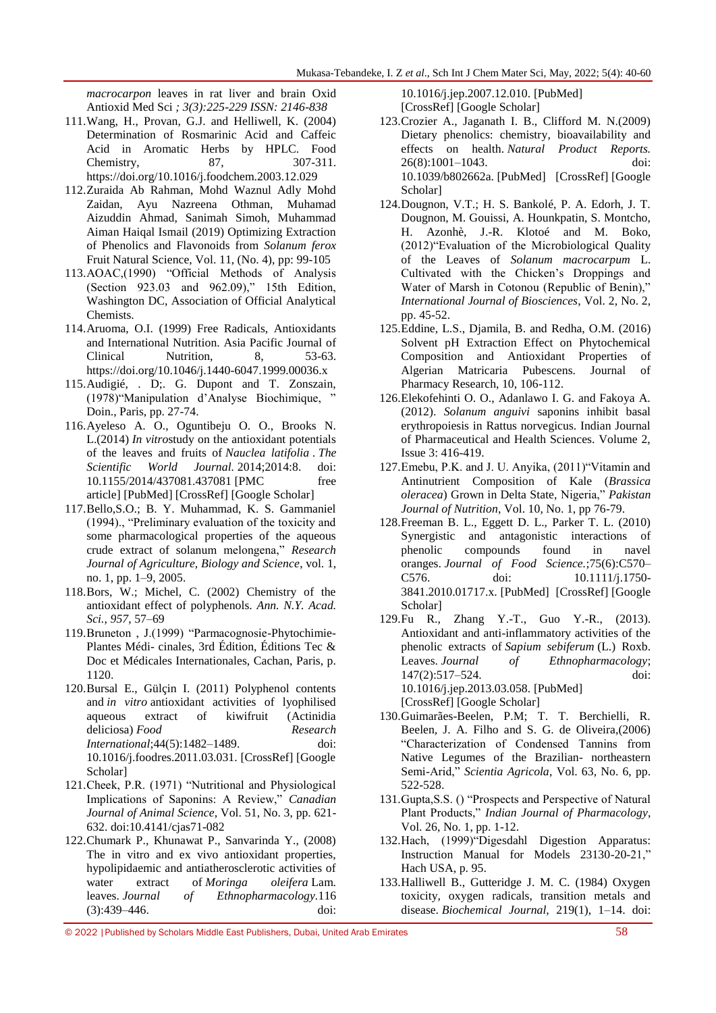*macrocarpon* leaves in rat liver and brain Oxid Antioxid Med Sci *; 3(3):225-229 ISSN: 2146-838*

- 111.Wang, H., Provan, G.J. and Helliwell, K. (2004) Determination of Rosmarinic Acid and Caffeic Acid in Aromatic Herbs by HPLC. Food Chemistry, 87, 307-311. <https://doi.org/10.1016/j.foodchem.2003.12.029>
- 112.Zuraida Ab Rahman, Mohd Waznul Adly Mohd Zaidan, Ayu Nazreena Othman, Muhamad Aizuddin Ahmad, Sanimah Simoh, Muhammad Aiman Haiqal Ismail (2019) Optimizing Extraction of Phenolics and Flavonoids from *Solanum ferox*  Fruit Natural Science, Vol. 11, (No. 4), pp: 99-105
- 113.AOAC.(1990) 
"Official Methods of Analysis (Section  $923.03$  and  $962.09$ )," 15th Edition, Washington DC, Association of Official Analytical Chemists.
- 114.Aruoma, O.I. (1999) Free Radicals, Antioxidants and International Nutrition. Asia Pacific Journal of Clinical Nutrition, 8, 53-63. <https://doi.org/10.1046/j.1440-6047.1999.00036.x>
- 115.Audigié, . D;. G. Dupont and T. Zonszain, (1978) "Manipulation d'Analyse Biochimique, " Doin., Paris, pp. 27-74.
- 116.Ayeleso A. O., Oguntibeju O. O., Brooks N. L.(2014) *In vitro*study on the antioxidant potentials of the leaves and fruits of *Nauclea latifolia* . *The Scientific World Journal.* 2014;2014:8. doi: 10.1155/2014/437081.437081 [\[PMC free](https://www.ncbi.nlm.nih.gov/pmc/articles/PMC4074996/)  [article\]](https://www.ncbi.nlm.nih.gov/pmc/articles/PMC4074996/) [\[PubMed\]](https://www.ncbi.nlm.nih.gov/pubmed/25013856) [\[CrossRef\]](https://dx.doi.org/10.1155%2F2014%2F437081) [\[Google Scholar\]](https://scholar.google.com/scholar_lookup?journal=The+Scientific+World+Journal&title=In+vitrostudy+on+the+antioxidant+potentials+of+the+leaves+and+fruits+of+Nauclea+latifolia&author=A.+O.+Ayeleso&author=O.+O.+Oguntibeju&author=N.+L.+Brooks&volume=2014&publication_year=2014&pages=8&doi=10.1155/2014/437081&)
- 117.Bello,S.O.; B. Y. Muhammad, K. S. Gammaniel (1994)., "Preliminary evaluation of the toxicity and some pharmacological properties of the aqueous crude extract of solanum melongena," Research *Journal of Agriculture, Biology and Science*, vol. 1, no. 1, pp. 1–9, 2005.
- 118.Bors, W.; Michel, C. (2002) Chemistry of the antioxidant effect of polyphenols. *Ann. N.Y. Acad. Sci.*, *957*, 57–69
- 119.Bruneton, J.(1999) 
"Parmacognosie-Phytochimie-Plantes Médi- cinales, 3rd Édition, Éditions Tec & Doc et Médicales Internationales, Cachan, Paris, p. 1120.
- 120.Bursal E., Gülçin I. (2011) Polyphenol contents and *in vitro* antioxidant activities of lyophilised aqueous extract of kiwifruit (Actinidia deliciosa) *Food Research International*;44(5):1482–1489. doi: 10.1016/j.foodres.2011.03.031. [\[CrossRef\]](https://dx.doi.org/10.1016%2Fj.foodres.2011.03.031) [\[Google](https://scholar.google.com/scholar_lookup?journal=Food+Research+International&title=Polyphenol+contents+and+in+vitro+antioxidant+activities+of+lyophilised+aqueous+extract+of+kiwifruit+(Actinidia+deliciosa)&author=E.+Bursal&author=I.+G%C3%BCl%C3%A7in&volume=44&issue=5&publication_year=2011&pages=1482-1489&doi=10.1016/j.foodres.2011.03.031&)  [Scholar\]](https://scholar.google.com/scholar_lookup?journal=Food+Research+International&title=Polyphenol+contents+and+in+vitro+antioxidant+activities+of+lyophilised+aqueous+extract+of+kiwifruit+(Actinidia+deliciosa)&author=E.+Bursal&author=I.+G%C3%BCl%C3%A7in&volume=44&issue=5&publication_year=2011&pages=1482-1489&doi=10.1016/j.foodres.2011.03.031&)
- 121.Cheek, P.R. (1971) "Nutritional and Physiological Implications of Saponins: A Review," *Canadian Journal of Animal Science*, Vol. 51, No. 3, pp. 621- 632. [doi:10.4141/cjas71-082](http://dx.doi.org/10.4141/cjas71-082)
- 122.Chumark P., Khunawat P., Sanvarinda Y., (2008) The in vitro and ex vivo antioxidant properties, hypolipidaemic and antiatherosclerotic activities of water extract of *Moringa oleifera* Lam. leaves. *Journal of Ethnopharmacology.*116 (3):439–446. doi:

10.1016/j.jep.2007.12.010. [\[PubMed\]](https://www.ncbi.nlm.nih.gov/pubmed/18249514) [\[CrossRef\]](https://dx.doi.org/10.1016%2Fj.jep.2007.12.010) [\[Google Scholar\]](https://scholar.google.com/scholar_lookup?journal=Journal+of+Ethnopharmacology&title=The+in+vitro+and+ex+vivo+antioxidant+properties,+hypolipidaemic+and+antiatherosclerotic+activities+of+water+extract+of+Moringa+oleifera+Lam.+leaves&author=P.+Chumark&author=P.+Khunawat&author=Y.+Sanvarinda&volume=116&issue=3&publication_year=2008&pages=439-446&pmid=18249514&doi=10.1016/j.jep.2007.12.010&)

- 123.Crozier A., Jaganath I. B., Clifford M. N.(2009) Dietary phenolics: chemistry, bioavailability and effects on health. *Natural Product Reports.*  26(8):1001–1043. doi: 10.1039/b802662a. [\[PubMed\]](https://www.ncbi.nlm.nih.gov/pubmed/19636448) [\[CrossRef\]](https://dx.doi.org/10.1039%2Fb802662a) [\[Google](https://scholar.google.com/scholar_lookup?journal=Natural+Product+Reports&title=Dietary+phenolics:+chemistry,+bioavailability+and+effects+on+health&author=A.+Crozier&author=I.+B.+Jaganath&author=M.+N.+Clifford&volume=26&issue=8&publication_year=2009&pages=1001-1043&pmid=19636448&doi=10.1039/b802662a&)  [Scholar\]](https://scholar.google.com/scholar_lookup?journal=Natural+Product+Reports&title=Dietary+phenolics:+chemistry,+bioavailability+and+effects+on+health&author=A.+Crozier&author=I.+B.+Jaganath&author=M.+N.+Clifford&volume=26&issue=8&publication_year=2009&pages=1001-1043&pmid=19636448&doi=10.1039/b802662a&)
- 124.Dougnon, V.T.; H. S. Bankolé, P. A. Edorh, J. T. Dougnon, M. Gouissi, A. Hounkpatin, S. Montcho, H. Azonhè, J.-R. Klotoé and M. Boko,  $(2012)$ "Evaluation of the Microbiological Quality of the Leaves of *Solanum macrocarpum* L. Cultivated with the Chicken's Droppings and Water of Marsh in Cotonou (Republic of Benin)," *International Journal of Biosciences*, Vol. 2, No. 2, pp. 45-52.
- 125.Eddine, L.S., Djamila, B. and Redha, O.M. (2016) Solvent pH Extraction Effect on Phytochemical Composition and Antioxidant Properties of Algerian Matricaria Pubescens. Journal of Pharmacy Research, 10, 106-112.
- 126.Elekofehinti O. O., Adanlawo I. G. and Fakoya A. (2012). *Solanum anguivi* saponins inhibit basal erythropoiesis in Rattus norvegicus. Indian Journal of Pharmaceutical and Health Sciences. Volume 2, Issue 3: 416-419.
- 127.Emebu, P.K. and J. U. Anyika, (2011)"Vitamin and Antinutrient Composition of Kale (*Brassica oleracea*) Grown in Delta State, Nigeria," *Pakistan Journal of Nutrition*, Vol. 10, No. 1, pp 76-79.
- 128.Freeman B. L., Eggett D. L., Parker T. L. (2010) Synergistic and antagonistic interactions of phenolic compounds found in navel oranges. *Journal of Food Science.*;75(6):C570– C576. doi: 10.1111/j.1750- 3841.2010.01717.x. [\[PubMed\]](https://www.ncbi.nlm.nih.gov/pubmed/20722912) [\[CrossRef\]](https://dx.doi.org/10.1111%2Fj.1750-3841.2010.01717.x) [\[Google](https://scholar.google.com/scholar_lookup?journal=Journal+of+Food+Science&title=Synergistic+and+antagonistic+interactions+of+phenolic+compounds+found+in+navel+oranges&author=B.+L.+Freeman&author=D.+L.+Eggett&author=T.+L.+Parker&volume=75&issue=6&publication_year=2010&pages=C570-C576&pmid=20722912&doi=10.1111/j.1750-3841.2010.01717.x&)  [Scholar\]](https://scholar.google.com/scholar_lookup?journal=Journal+of+Food+Science&title=Synergistic+and+antagonistic+interactions+of+phenolic+compounds+found+in+navel+oranges&author=B.+L.+Freeman&author=D.+L.+Eggett&author=T.+L.+Parker&volume=75&issue=6&publication_year=2010&pages=C570-C576&pmid=20722912&doi=10.1111/j.1750-3841.2010.01717.x&)
- 129.Fu R., Zhang Y.-T., Guo Y.-R., (2013). Antioxidant and anti-inflammatory activities of the phenolic extracts of *Sapium sebiferum* (L.) Roxb. Leaves. *Journal of Ethnopharmacology*; 147(2):517–524. doi: 10.1016/j.jep.2013.03.058. [\[PubMed\]](https://www.ncbi.nlm.nih.gov/pubmed/23545454) [\[CrossRef\]](https://dx.doi.org/10.1016%2Fj.jep.2013.03.058) [\[Google Scholar\]](https://scholar.google.com/scholar_lookup?journal=Journal+of+Ethnopharmacology&title=Antioxidant+and+anti-inflammatory+activities+of+the+phenolic+extracts+of+Sapium+sebiferum+(L.)+Roxb.+leaves&author=R.+Fu&author=Y.-T.+Zhang&author=Y.-R.+Guo&volume=147&issue=2&publication_year=2013&pages=517-524&pmid=23545454&doi=10.1016/j.jep.2013.03.058&)
- 130.Guimarães-Beelen, P.M; T. T. Berchielli, R. Beelen, J. A. Filho and S. G. de Oliveira,(2006) ―Characterization of Condensed Tannins from Native Legumes of the Brazilian- northeastern Semi-Arid," *Scientia Agricola*, Vol. 63, No. 6, pp. 522-528.
- 131. Gupta, S.S. () "Prospects and Perspective of Natural Plant Products," *Indian Journal of Pharmacology*, Vol. 26, No. 1, pp. 1-12.
- 132. Hach, (1999) "Digesdahl Digestion Apparatus: Instruction Manual for Models 23130-20-21," Hach USA, p. 95.
- 133.Halliwell B., Gutteridge J. M. C. (1984) Oxygen toxicity, oxygen radicals, transition metals and disease. *Biochemical Journal,* 219(1), 1–14. doi: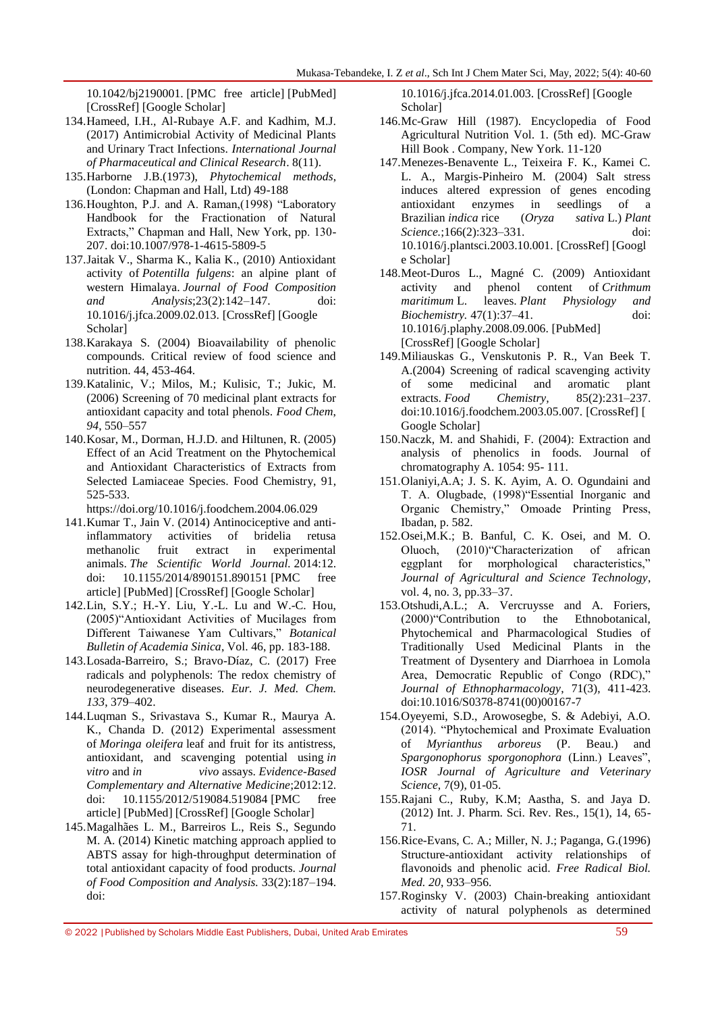10.1042/bj2190001. [\[PMC free article\]](https://www.ncbi.nlm.nih.gov/pmc/articles/PMC1153442/) [\[PubMed\]](https://www.ncbi.nlm.nih.gov/pubmed/6326753) [\[CrossRef\]](https://dx.doi.org/10.1042%2Fbj2190001) [\[Google Scholar\]](https://scholar.google.com/scholar_lookup?journal=Biochemical+Journal&title=Oxygen+toxicity,+oxygen+radicals,+transition+metals+and+disease&author=B.+Halliwell&author=J.+M.+C.+Gutteridge&volume=219&issue=1&publication_year=1984&pages=1-14&pmid=6326753&doi=10.1042/bj2190001&)

- 134.Hameed, I.H., Al-Rubaye A.F. and Kadhim, M.J. (2017) Antimicrobial Activity of Medicinal Plants and Urinary Tract Infections. *International Journal of Pharmaceutical and Clinical Research*. 8(11).
- 135.Harborne J.B.(1973), *Phytochemical methods*, (London: Chapman and Hall, Ltd) 49-188
- 136. Houghton, P.J. and A. Raman, (1998) "Laboratory Handbook for the Fractionation of Natural Extracts," Chapman and Hall, New York, pp. 130-207. [doi:10.1007/978-1-4615-5809-5](http://dx.doi.org/10.1007/978-1-4615-5809-5)
- 137.Jaitak V., Sharma K., Kalia K., (2010) Antioxidant activity of *Potentilla fulgens*: an alpine plant of western Himalaya. *Journal of Food Composition and Analysis*;23(2):142–147. doi: 10.1016/j.jfca.2009.02.013. [\[CrossRef\]](https://dx.doi.org/10.1016%2Fj.jfca.2009.02.013) [\[Google](https://scholar.google.com/scholar_lookup?journal=Journal+of+Food+Composition+and+Analysis&title=Antioxidant+activity+of+Potentilla+fulgens:+an+alpine+plant+of+western+Himalaya&author=V.+Jaitak&author=K.+Sharma&author=K.+Kalia&volume=23&issue=2&publication_year=2010&pages=142-147&doi=10.1016/j.jfca.2009.02.013&)  [Scholar\]](https://scholar.google.com/scholar_lookup?journal=Journal+of+Food+Composition+and+Analysis&title=Antioxidant+activity+of+Potentilla+fulgens:+an+alpine+plant+of+western+Himalaya&author=V.+Jaitak&author=K.+Sharma&author=K.+Kalia&volume=23&issue=2&publication_year=2010&pages=142-147&doi=10.1016/j.jfca.2009.02.013&)
- 138.Karakaya S. (2004) Bioavailability of phenolic compounds. Critical review of food science and nutrition. 44, 453-464.
- 139.Katalinic, V.; Milos, M.; Kulisic, T.; Jukic, M. (2006) Screening of 70 medicinal plant extracts for antioxidant capacity and total phenols. *Food Chem*, *94*, 550–557
- 140.Kosar, M., Dorman, H.J.D. and Hiltunen, R. (2005) Effect of an Acid Treatment on the Phytochemical and Antioxidant Characteristics of Extracts from Selected Lamiaceae Species. Food Chemistry, 91, 525-533.

https://doi.org/10.1016/j.foodchem.2004.06.029

- 141.Kumar T., Jain V. (2014) Antinociceptive and antiinflammatory activities of bridelia retusa methanolic fruit extract in experimental animals. *The Scientific World Journal.* 2014:12. doi: 10.1155/2014/890151.890151 [\[PMC free](https://www.ncbi.nlm.nih.gov/pmc/articles/PMC4251411/)  [article\]](https://www.ncbi.nlm.nih.gov/pmc/articles/PMC4251411/) [\[PubMed\]](https://www.ncbi.nlm.nih.gov/pubmed/25506619) [\[CrossRef\]](https://dx.doi.org/10.1155%2F2014%2F890151) [\[Google Scholar\]](https://scholar.google.com/scholar_lookup?journal=The+Scientific+World+Journal&title=Antinociceptive+and+anti-inflammatory+activities+of+bridelia+retusa+methanolic+fruit+extract+in+experimental+animals&author=T.+Kumar&author=V.+Jain&volume=2014&publication_year=2014&pages=12&doi=10.1155/2014/890151&)
- 142.Lin, S.Y.; H.-Y. Liu, Y.-L. Lu and W.-C. Hou, (2005)"Antioxidant Activities of Mucilages from Different Taiwanese Yam Cultivars," *Botanical Bulletin of Academia Sinica*, Vol. 46, pp. 183-188.
- 143.Losada-Barreiro, S.; Bravo-Díaz, C. (2017) Free radicals and polyphenols: The redox chemistry of neurodegenerative diseases. *Eur. J. Med. Chem. 133*, 379–402.
- 144.Luqman S., Srivastava S., Kumar R., Maurya A. K., Chanda D. (2012) Experimental assessment of *Moringa oleifera* leaf and fruit for its antistress, antioxidant, and scavenging potential using *in vitro* and *in vivo* assays. *Evidence-Based Complementary and Alternative Medicine*;2012:12. doi: 10.1155/2012/519084.519084 [\[PMC free](https://www.ncbi.nlm.nih.gov/pmc/articles/PMC3247066/)  [article\]](https://www.ncbi.nlm.nih.gov/pmc/articles/PMC3247066/) [\[PubMed\]](https://www.ncbi.nlm.nih.gov/pubmed/22216055) [\[CrossRef\]](https://dx.doi.org/10.1155%2F2012%2F519084) [\[Google Scholar\]](https://scholar.google.com/scholar_lookup?journal=Evidence-Based+Complementary+and+Alternative+Medicine&title=Experimental+assessment+of+Moringa+oleifera+leaf+and+fruit+for+its+antistress,+antioxidant,+and+scavenging+potential+using+in+vitro+and+in+vivo+assays&author=S.+Luqman&author=S.+Srivastava&author=R.+Kumar&author=A.+K.+Maurya&author=D.+Chanda&volume=2012&publication_year=2012&pages=12&doi=10.1155/2012/519084&)
- 145.Magalhães L. M., Barreiros L., Reis S., Segundo M. A. (2014) Kinetic matching approach applied to ABTS assay for high-throughput determination of total antioxidant capacity of food products. *Journal of Food Composition and Analysis.* 33(2):187–194. doi:

10.1016/j.jfca.2014.01.003. [\[CrossRef\]](https://dx.doi.org/10.1016%2Fj.jfca.2014.01.003) [\[Google](https://scholar.google.com/scholar_lookup?journal=Journal+of+Food+Composition+and+Analysis&title=Kinetic+matching+approach+applied+to+ABTS+assay+for+high-throughput+determination+of+total+antioxidant+capacity+of+food+products&author=L.+M.+Magalh%C3%A3es&author=L.+Barreiros&author=S.+Reis&author=M.+A.+Segundo&volume=33&issue=2&publication_year=2014&pages=187-194&doi=10.1016/j.jfca.2014.01.003&)  [Scholar\]](https://scholar.google.com/scholar_lookup?journal=Journal+of+Food+Composition+and+Analysis&title=Kinetic+matching+approach+applied+to+ABTS+assay+for+high-throughput+determination+of+total+antioxidant+capacity+of+food+products&author=L.+M.+Magalh%C3%A3es&author=L.+Barreiros&author=S.+Reis&author=M.+A.+Segundo&volume=33&issue=2&publication_year=2014&pages=187-194&doi=10.1016/j.jfca.2014.01.003&)

- 146.Mc-Graw Hill (1987). Encyclopedia of Food Agricultural Nutrition Vol. 1. (5th ed). MC-Graw Hill Book . Company, New York. 11-120
- 147.Menezes-Benavente L., Teixeira F. K., Kamei C. L. A., Margis-Pinheiro M. (2004) Salt stress induces altered expression of genes encoding antioxidant enzymes in seedlings of a Brazilian *indica* rice (*Oryza sativa* L.) *Plant Science.*;166(2):323–331. doi: 10.1016/j.plantsci.2003.10.001. [\[CrossRef\]](https://dx.doi.org/10.1016%2Fj.plantsci.2003.10.001) [\[Googl](https://scholar.google.com/scholar_lookup?journal=Plant+Science&title=Salt+stress+induces+altered+expression+of+genes+encoding+antioxidant+enzymes+in+seedlings+of+a+Brazilian+indica+rice+(Oryza+sativa+L.)&author=L.+Menezes-Benavente&author=F.+K.+Teixeira&author=C.+L.+A.+Kamei&author=M.+Margis-Pinheiro&volume=166&issue=2&publication_year=2004&pages=323-331&doi=10.1016/j.plantsci.2003.10.001&) [e Scholar\]](https://scholar.google.com/scholar_lookup?journal=Plant+Science&title=Salt+stress+induces+altered+expression+of+genes+encoding+antioxidant+enzymes+in+seedlings+of+a+Brazilian+indica+rice+(Oryza+sativa+L.)&author=L.+Menezes-Benavente&author=F.+K.+Teixeira&author=C.+L.+A.+Kamei&author=M.+Margis-Pinheiro&volume=166&issue=2&publication_year=2004&pages=323-331&doi=10.1016/j.plantsci.2003.10.001&)
- 148.Meot-Duros L., Magné C. (2009) Antioxidant activity and phenol content of *Crithmum maritimum* L. leaves. *Plant Physiology and Biochemistry.* 47(1):37–41. doi: 10.1016/j.plaphy.2008.09.006. [\[PubMed\]](https://www.ncbi.nlm.nih.gov/pubmed/18980846) [\[CrossRef\]](https://dx.doi.org/10.1016%2Fj.plaphy.2008.09.006) [\[Google Scholar\]](https://scholar.google.com/scholar_lookup?journal=Plant+Physiology+and+Biochemistry&title=Antioxidant+activity+and+phenol+content+of+Crithmum+maritimum+L.+leaves&author=L.+Meot-Duros&author=C.+Magn%C3%A9&volume=47&issue=1&publication_year=2009&pages=37-41&pmid=18980846&doi=10.1016/j.plaphy.2008.09.006&)
- 149.Miliauskas G., Venskutonis P. R., Van Beek T. A.(2004) Screening of radical scavenging activity of some medicinal and aromatic plant extracts. *Food Chemistry,* 85(2):231–237. doi:10.1016/j.foodchem.2003.05.007. [\[CrossRef\]](https://dx.doi.org/10.1016%2Fj.foodchem.2003.05.007) [ [Google Scholar\]](https://scholar.google.com/scholar_lookup?journal=Food+Chemistry&title=Screening+of+radical+scavenging+activity+of+some+medicinal+and+aromatic+plant+extracts&author=G.+Miliauskas&author=P.+R.+Venskutonis&author=T.+A.+Van+Beek&volume=85&issue=2&publication_year=2004&pages=231-237&doi=10.1016/j.foodchem.2003.05.007&)
- 150.Naczk, M. and Shahidi, F. (2004): Extraction and analysis of phenolics in foods. Journal of chromatography A. 1054: 95- 111.
- 151.Olaniyi,A.A; J. S. K. Ayim, A. O. Ogundaini and T. A. Olugbade, (1998)"Essential Inorganic and Organic Chemistry," Omoade Printing Press, Ibadan, p. 582.
- 152.Osei,M.K.; B. Banful, C. K. Osei, and M. O. Oluoch, (2010) Characterization of african eggplant for morphological characteristics," *Journal of Agricultural and Science Technology*, vol. 4, no. 3, pp.33–37.
- 153.Otshudi,A.L.; A. Vercruysse and A. Foriers, (2000)"Contribution to the Ethnobotanical, Phytochemical and Pharmacological Studies of Traditionally Used Medicinal Plants in the Treatment of Dysentery and Diarrhoea in Lomola Area, Democratic Republic of Congo (RDC)," *Journal of Ethnopharmacology*, 71(3), 411-423. [doi:10.1016/S0378-8741\(00\)00167-7](http://dx.doi.org/10.1016/S0378-8741(00)00167-7)
- 154.Oyeyemi, S.D., Arowosegbe, S. & Adebiyi, A.O. (2014). "Phytochemical and Proximate Evaluation of *Myrianthus arboreus* (P. Beau.) and Spargonophorus sporgonophora (Linn.) Leaves", *IOSR Journal of Agriculture and Veterinary Science*, 7(9), 01-05.
- 155.Rajani C., Ruby, K.M; Aastha, S. and Jaya D. (2012) Int. J. Pharm. Sci. Rev. Res., 15(1), 14, 65- 71.
- 156.Rice-Evans, C. A.; Miller, N. J.; Paganga, G.(1996) Structure-antioxidant activity relationships of flavonoids and phenolic acid. *Free Radical Biol. Med. 20*, 933–956.
- 157.Roginsky V. (2003) Chain-breaking antioxidant activity of natural polyphenols as determined